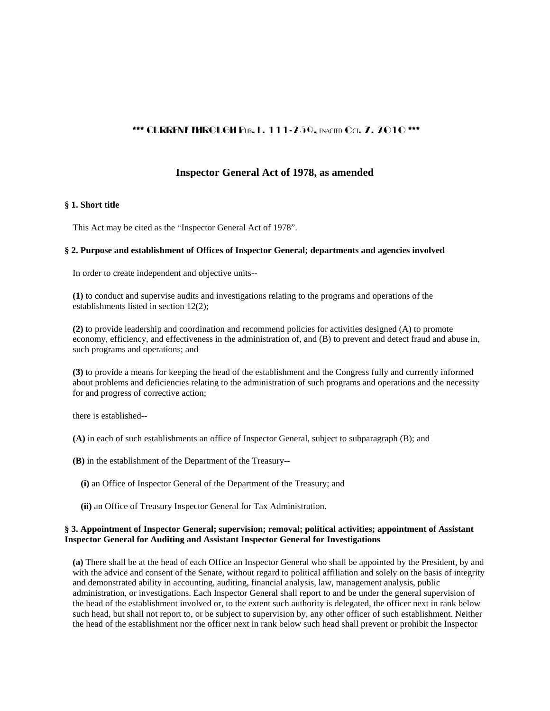# \*\*\* CURRENT THROUGH Pub. 1, 111-250, ENACTED OCT. 7, 2010 \*\*\*

# **Inspector General Act of 1978, as amended**

### **§ 1. Short title**

This Act may be cited as the "Inspector General Act of 1978".

### **§ 2. Purpose and establishment of Offices of Inspector General; departments and agencies involved**

In order to create independent and objective units--

**(1)** to conduct and supervise audits and investigations relating to the programs and operations of the establishments listed in section 12(2);

**(2)** to provide leadership and coordination and recommend policies for activities designed (A) to promote economy, efficiency, and effectiveness in the administration of, and (B) to prevent and detect fraud and abuse in, such programs and operations; and

**(3)** to provide a means for keeping the head of the establishment and the Congress fully and currently informed about problems and deficiencies relating to the administration of such programs and operations and the necessity for and progress of corrective action;

there is established--

**(A)** in each of such establishments an office of Inspector General, subject to subparagraph (B); and

- **(B)** in the establishment of the Department of the Treasury--
	- **(i)** an Office of Inspector General of the Department of the Treasury; and
	- **(ii)** an Office of Treasury Inspector General for Tax Administration.

## **§ 3. Appointment of Inspector General; supervision; removal; political activities; appointment of Assistant Inspector General for Auditing and Assistant Inspector General for Investigations**

**(a)** There shall be at the head of each Office an Inspector General who shall be appointed by the President, by and with the advice and consent of the Senate, without regard to political affiliation and solely on the basis of integrity and demonstrated ability in accounting, auditing, financial analysis, law, management analysis, public administration, or investigations. Each Inspector General shall report to and be under the general supervision of the head of the establishment involved or, to the extent such authority is delegated, the officer next in rank below such head, but shall not report to, or be subject to supervision by, any other officer of such establishment. Neither the head of the establishment nor the officer next in rank below such head shall prevent or prohibit the Inspector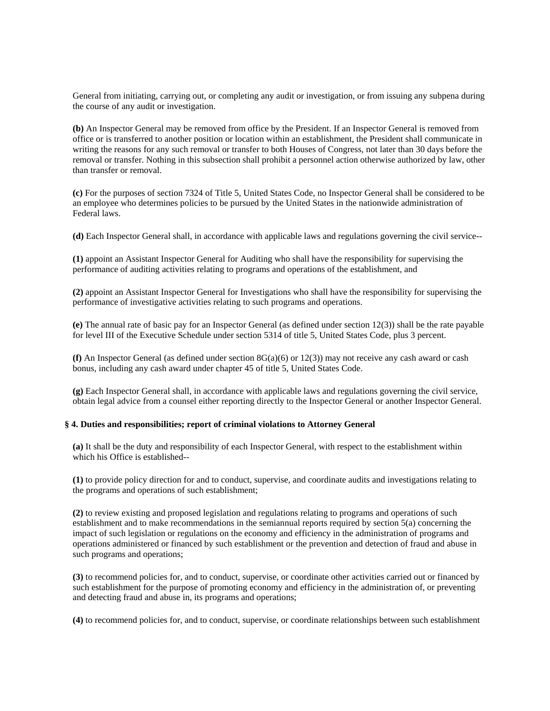General from initiating, carrying out, or completing any audit or investigation, or from issuing any subpena during the course of any audit or investigation.

**(b)** An Inspector General may be removed from office by the President. If an Inspector General is removed from office or is transferred to another position or location within an establishment, the President shall communicate in writing the reasons for any such removal or transfer to both Houses of Congress, not later than 30 days before the removal or transfer. Nothing in this subsection shall prohibit a personnel action otherwise authorized by law, other than transfer or removal.

**(c)** For the purposes of section 7324 of Title 5, United States Code, no Inspector General shall be considered to be an employee who determines policies to be pursued by the United States in the nationwide administration of Federal laws.

**(d)** Each Inspector General shall, in accordance with applicable laws and regulations governing the civil service--

**(1)** appoint an Assistant Inspector General for Auditing who shall have the responsibility for supervising the performance of auditing activities relating to programs and operations of the establishment, and

**(2)** appoint an Assistant Inspector General for Investigations who shall have the responsibility for supervising the performance of investigative activities relating to such programs and operations.

**(e)** The annual rate of basic pay for an Inspector General (as defined under section 12(3)) shall be the rate payable for level III of the Executive Schedule under section 5314 of title 5, United States Code, plus 3 percent.

**(f)** An Inspector General (as defined under section 8G(a)(6) or 12(3)) may not receive any cash award or cash bonus, including any cash award under chapter 45 of title 5, United States Code.

**(g)** Each Inspector General shall, in accordance with applicable laws and regulations governing the civil service, obtain legal advice from a counsel either reporting directly to the Inspector General or another Inspector General.

#### **§ 4. Duties and responsibilities; report of criminal violations to Attorney General**

**(a)** It shall be the duty and responsibility of each Inspector General, with respect to the establishment within which his Office is established--

**(1)** to provide policy direction for and to conduct, supervise, and coordinate audits and investigations relating to the programs and operations of such establishment;

**(2)** to review existing and proposed legislation and regulations relating to programs and operations of such establishment and to make recommendations in the semiannual reports required by section 5(a) concerning the impact of such legislation or regulations on the economy and efficiency in the administration of programs and operations administered or financed by such establishment or the prevention and detection of fraud and abuse in such programs and operations;

**(3)** to recommend policies for, and to conduct, supervise, or coordinate other activities carried out or financed by such establishment for the purpose of promoting economy and efficiency in the administration of, or preventing and detecting fraud and abuse in, its programs and operations;

**(4)** to recommend policies for, and to conduct, supervise, or coordinate relationships between such establishment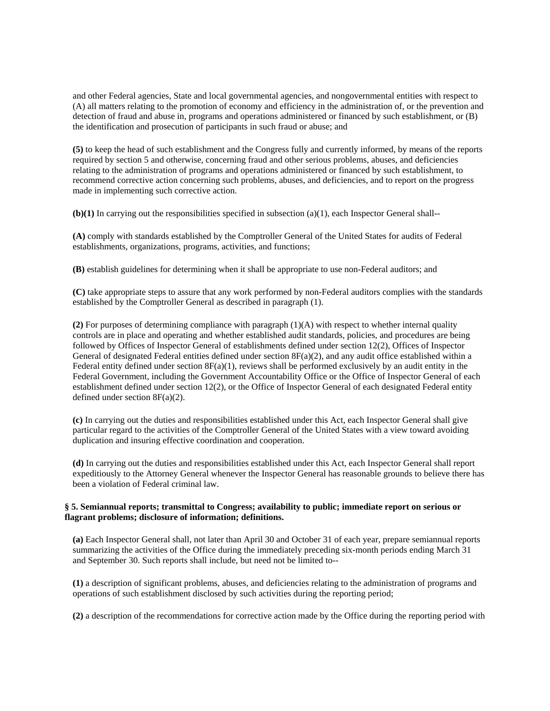and other Federal agencies, State and local governmental agencies, and nongovernmental entities with respect to (A) all matters relating to the promotion of economy and efficiency in the administration of, or the prevention and detection of fraud and abuse in, programs and operations administered or financed by such establishment, or (B) the identification and prosecution of participants in such fraud or abuse; and

**(5)** to keep the head of such establishment and the Congress fully and currently informed, by means of the reports required by section 5 and otherwise, concerning fraud and other serious problems, abuses, and deficiencies relating to the administration of programs and operations administered or financed by such establishment, to recommend corrective action concerning such problems, abuses, and deficiencies, and to report on the progress made in implementing such corrective action.

**(b)(1)** In carrying out the responsibilities specified in subsection (a)(1), each Inspector General shall--

**(A)** comply with standards established by the Comptroller General of the United States for audits of Federal establishments, organizations, programs, activities, and functions;

**(B)** establish guidelines for determining when it shall be appropriate to use non-Federal auditors; and

**(C)** take appropriate steps to assure that any work performed by non-Federal auditors complies with the standards established by the Comptroller General as described in paragraph (1).

**(2)** For purposes of determining compliance with paragraph (1)(A) with respect to whether internal quality controls are in place and operating and whether established audit standards, policies, and procedures are being followed by Offices of Inspector General of establishments defined under section 12(2), Offices of Inspector General of designated Federal entities defined under section  $8F(a)(2)$ , and any audit office established within a Federal entity defined under section  $8F(a)(1)$ , reviews shall be performed exclusively by an audit entity in the Federal Government, including the Government Accountability Office or the Office of Inspector General of each establishment defined under section 12(2), or the Office of Inspector General of each designated Federal entity defined under section 8F(a)(2).

**(c)** In carrying out the duties and responsibilities established under this Act, each Inspector General shall give particular regard to the activities of the Comptroller General of the United States with a view toward avoiding duplication and insuring effective coordination and cooperation.

**(d)** In carrying out the duties and responsibilities established under this Act, each Inspector General shall report expeditiously to the Attorney General whenever the Inspector General has reasonable grounds to believe there has been a violation of Federal criminal law.

## **§ 5. Semiannual reports; transmittal to Congress; availability to public; immediate report on serious or flagrant problems; disclosure of information; definitions.**

**(a)** Each Inspector General shall, not later than April 30 and October 31 of each year, prepare semiannual reports summarizing the activities of the Office during the immediately preceding six-month periods ending March 31 and September 30. Such reports shall include, but need not be limited to--

**(1)** a description of significant problems, abuses, and deficiencies relating to the administration of programs and operations of such establishment disclosed by such activities during the reporting period;

**(2)** a description of the recommendations for corrective action made by the Office during the reporting period with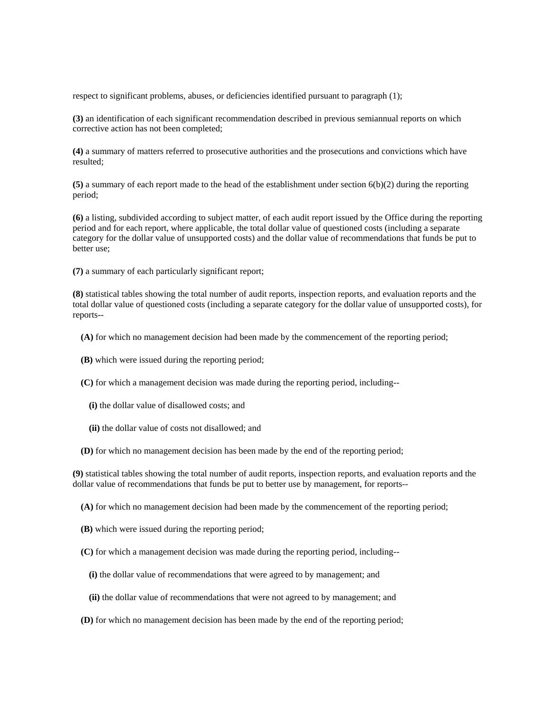respect to significant problems, abuses, or deficiencies identified pursuant to paragraph (1);

**(3)** an identification of each significant recommendation described in previous semiannual reports on which corrective action has not been completed;

**(4)** a summary of matters referred to prosecutive authorities and the prosecutions and convictions which have resulted;

**(5)** a summary of each report made to the head of the establishment under section 6(b)(2) during the reporting period;

**(6)** a listing, subdivided according to subject matter, of each audit report issued by the Office during the reporting period and for each report, where applicable, the total dollar value of questioned costs (including a separate category for the dollar value of unsupported costs) and the dollar value of recommendations that funds be put to better use;

**(7)** a summary of each particularly significant report;

**(8)** statistical tables showing the total number of audit reports, inspection reports, and evaluation reports and the total dollar value of questioned costs (including a separate category for the dollar value of unsupported costs), for reports--

- **(A)** for which no management decision had been made by the commencement of the reporting period;
- **(B)** which were issued during the reporting period;
- **(C)** for which a management decision was made during the reporting period, including--
	- **(i)** the dollar value of disallowed costs; and
	- **(ii)** the dollar value of costs not disallowed; and
- **(D)** for which no management decision has been made by the end of the reporting period;

**(9)** statistical tables showing the total number of audit reports, inspection reports, and evaluation reports and the dollar value of recommendations that funds be put to better use by management, for reports--

**(A)** for which no management decision had been made by the commencement of the reporting period;

- **(B)** which were issued during the reporting period;
- **(C)** for which a management decision was made during the reporting period, including--
	- **(i)** the dollar value of recommendations that were agreed to by management; and
	- **(ii)** the dollar value of recommendations that were not agreed to by management; and
- **(D)** for which no management decision has been made by the end of the reporting period;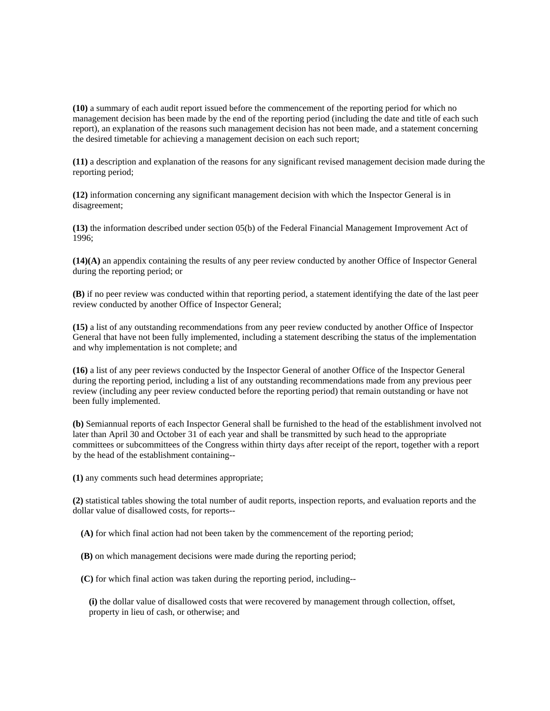**(10)** a summary of each audit report issued before the commencement of the reporting period for which no management decision has been made by the end of the reporting period (including the date and title of each such report), an explanation of the reasons such management decision has not been made, and a statement concerning the desired timetable for achieving a management decision on each such report;

**(11)** a description and explanation of the reasons for any significant revised management decision made during the reporting period;

**(12)** information concerning any significant management decision with which the Inspector General is in disagreement;

**(13)** the information described under section 05(b) of the Federal Financial Management Improvement Act of 1996;

**(14)(A)** an appendix containing the results of any peer review conducted by another Office of Inspector General during the reporting period; or

**(B)** if no peer review was conducted within that reporting period, a statement identifying the date of the last peer review conducted by another Office of Inspector General;

**(15)** a list of any outstanding recommendations from any peer review conducted by another Office of Inspector General that have not been fully implemented, including a statement describing the status of the implementation and why implementation is not complete; and

**(16)** a list of any peer reviews conducted by the Inspector General of another Office of the Inspector General during the reporting period, including a list of any outstanding recommendations made from any previous peer review (including any peer review conducted before the reporting period) that remain outstanding or have not been fully implemented.

**(b)** Semiannual reports of each Inspector General shall be furnished to the head of the establishment involved not later than April 30 and October 31 of each year and shall be transmitted by such head to the appropriate committees or subcommittees of the Congress within thirty days after receipt of the report, together with a report by the head of the establishment containing--

**(1)** any comments such head determines appropriate;

**(2)** statistical tables showing the total number of audit reports, inspection reports, and evaluation reports and the dollar value of disallowed costs, for reports--

**(A)** for which final action had not been taken by the commencement of the reporting period;

**(B)** on which management decisions were made during the reporting period;

**(C)** for which final action was taken during the reporting period, including--

**(i)** the dollar value of disallowed costs that were recovered by management through collection, offset, property in lieu of cash, or otherwise; and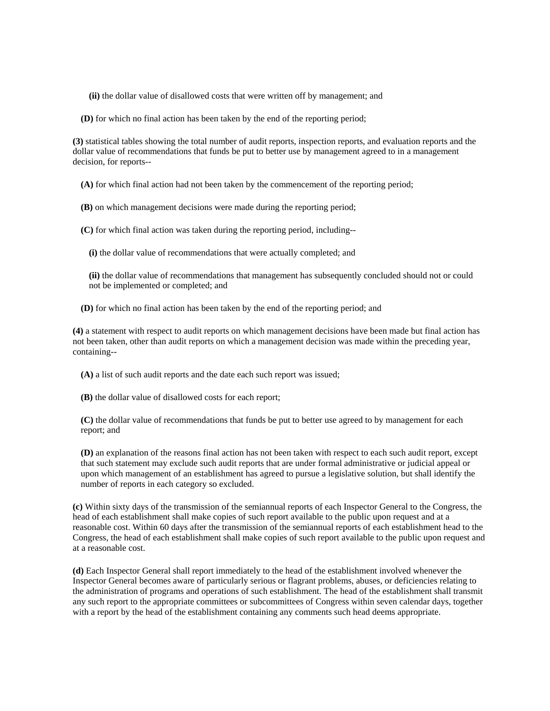**(ii)** the dollar value of disallowed costs that were written off by management; and

**(D)** for which no final action has been taken by the end of the reporting period;

**(3)** statistical tables showing the total number of audit reports, inspection reports, and evaluation reports and the dollar value of recommendations that funds be put to better use by management agreed to in a management decision, for reports--

**(A)** for which final action had not been taken by the commencement of the reporting period;

**(B)** on which management decisions were made during the reporting period;

**(C)** for which final action was taken during the reporting period, including--

**(i)** the dollar value of recommendations that were actually completed; and

**(ii)** the dollar value of recommendations that management has subsequently concluded should not or could not be implemented or completed; and

**(D)** for which no final action has been taken by the end of the reporting period; and

**(4)** a statement with respect to audit reports on which management decisions have been made but final action has not been taken, other than audit reports on which a management decision was made within the preceding year, containing--

**(A)** a list of such audit reports and the date each such report was issued;

**(B)** the dollar value of disallowed costs for each report;

**(C)** the dollar value of recommendations that funds be put to better use agreed to by management for each report; and

**(D)** an explanation of the reasons final action has not been taken with respect to each such audit report, except that such statement may exclude such audit reports that are under formal administrative or judicial appeal or upon which management of an establishment has agreed to pursue a legislative solution, but shall identify the number of reports in each category so excluded.

**(c)** Within sixty days of the transmission of the semiannual reports of each Inspector General to the Congress, the head of each establishment shall make copies of such report available to the public upon request and at a reasonable cost. Within 60 days after the transmission of the semiannual reports of each establishment head to the Congress, the head of each establishment shall make copies of such report available to the public upon request and at a reasonable cost.

**(d)** Each Inspector General shall report immediately to the head of the establishment involved whenever the Inspector General becomes aware of particularly serious or flagrant problems, abuses, or deficiencies relating to the administration of programs and operations of such establishment. The head of the establishment shall transmit any such report to the appropriate committees or subcommittees of Congress within seven calendar days, together with a report by the head of the establishment containing any comments such head deems appropriate.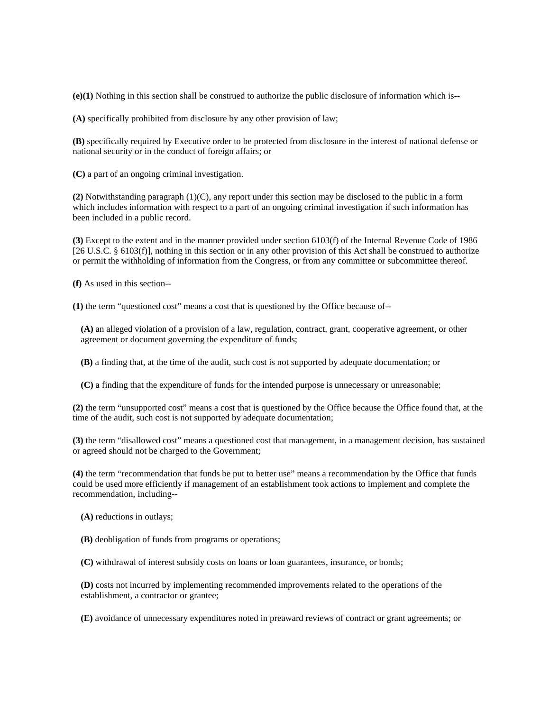**(e)(1)** Nothing in this section shall be construed to authorize the public disclosure of information which is--

**(A)** specifically prohibited from disclosure by any other provision of law;

**(B)** specifically required by Executive order to be protected from disclosure in the interest of national defense or national security or in the conduct of foreign affairs; or

**(C)** a part of an ongoing criminal investigation.

**(2)** Notwithstanding paragraph (1)(C), any report under this section may be disclosed to the public in a form which includes information with respect to a part of an ongoing criminal investigation if such information has been included in a public record.

**(3)** Except to the extent and in the manner provided under section 6103(f) of the Internal Revenue Code of 1986 [26 U.S.C. § 6103(f)], nothing in this section or in any other provision of this Act shall be construed to authorize or permit the withholding of information from the Congress, or from any committee or subcommittee thereof.

**(f)** As used in this section--

**(1)** the term "questioned cost" means a cost that is questioned by the Office because of--

**(A)** an alleged violation of a provision of a law, regulation, contract, grant, cooperative agreement, or other agreement or document governing the expenditure of funds;

**(B)** a finding that, at the time of the audit, such cost is not supported by adequate documentation; or

**(C)** a finding that the expenditure of funds for the intended purpose is unnecessary or unreasonable;

**(2)** the term "unsupported cost" means a cost that is questioned by the Office because the Office found that, at the time of the audit, such cost is not supported by adequate documentation;

**(3)** the term "disallowed cost" means a questioned cost that management, in a management decision, has sustained or agreed should not be charged to the Government;

**(4)** the term "recommendation that funds be put to better use" means a recommendation by the Office that funds could be used more efficiently if management of an establishment took actions to implement and complete the recommendation, including--

**(A)** reductions in outlays;

**(B)** deobligation of funds from programs or operations;

**(C)** withdrawal of interest subsidy costs on loans or loan guarantees, insurance, or bonds;

**(D)** costs not incurred by implementing recommended improvements related to the operations of the establishment, a contractor or grantee;

**(E)** avoidance of unnecessary expenditures noted in preaward reviews of contract or grant agreements; or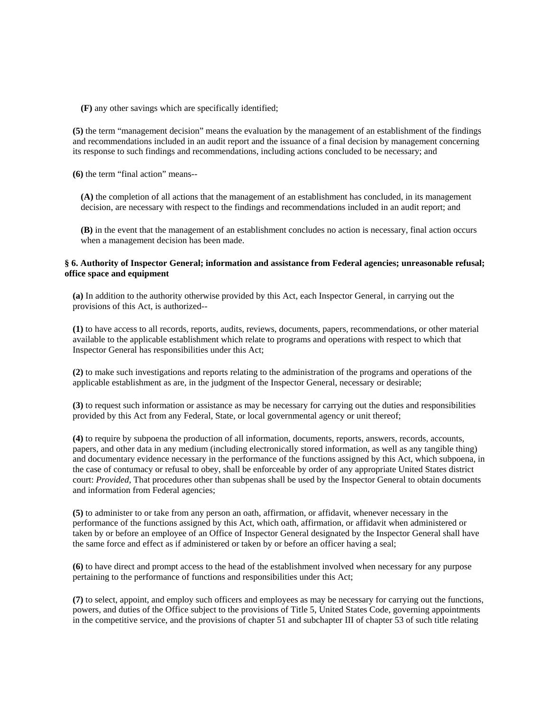**(F)** any other savings which are specifically identified;

**(5)** the term "management decision" means the evaluation by the management of an establishment of the findings and recommendations included in an audit report and the issuance of a final decision by management concerning its response to such findings and recommendations, including actions concluded to be necessary; and

**(6)** the term "final action" means--

**(A)** the completion of all actions that the management of an establishment has concluded, in its management decision, are necessary with respect to the findings and recommendations included in an audit report; and

**(B)** in the event that the management of an establishment concludes no action is necessary, final action occurs when a management decision has been made.

#### **§ 6. Authority of Inspector General; information and assistance from Federal agencies; unreasonable refusal; office space and equipment**

**(a)** In addition to the authority otherwise provided by this Act, each Inspector General, in carrying out the provisions of this Act, is authorized--

**(1)** to have access to all records, reports, audits, reviews, documents, papers, recommendations, or other material available to the applicable establishment which relate to programs and operations with respect to which that Inspector General has responsibilities under this Act;

**(2)** to make such investigations and reports relating to the administration of the programs and operations of the applicable establishment as are, in the judgment of the Inspector General, necessary or desirable;

**(3)** to request such information or assistance as may be necessary for carrying out the duties and responsibilities provided by this Act from any Federal, State, or local governmental agency or unit thereof;

**(4)** to require by subpoena the production of all information, documents, reports, answers, records, accounts, papers, and other data in any medium (including electronically stored information, as well as any tangible thing) and documentary evidence necessary in the performance of the functions assigned by this Act, which subpoena, in the case of contumacy or refusal to obey, shall be enforceable by order of any appropriate United States district court: *Provided*, That procedures other than subpenas shall be used by the Inspector General to obtain documents and information from Federal agencies;

**(5)** to administer to or take from any person an oath, affirmation, or affidavit, whenever necessary in the performance of the functions assigned by this Act, which oath, affirmation, or affidavit when administered or taken by or before an employee of an Office of Inspector General designated by the Inspector General shall have the same force and effect as if administered or taken by or before an officer having a seal;

**(6)** to have direct and prompt access to the head of the establishment involved when necessary for any purpose pertaining to the performance of functions and responsibilities under this Act;

**(7)** to select, appoint, and employ such officers and employees as may be necessary for carrying out the functions, powers, and duties of the Office subject to the provisions of Title 5, United States Code, governing appointments in the competitive service, and the provisions of chapter 51 and subchapter III of chapter 53 of such title relating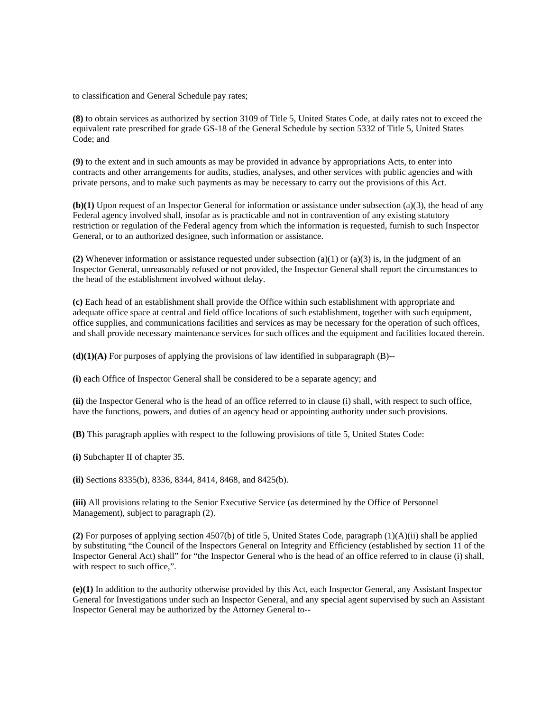to classification and General Schedule pay rates;

**(8)** to obtain services as authorized by section 3109 of Title 5, United States Code, at daily rates not to exceed the equivalent rate prescribed for grade GS-18 of the General Schedule by section 5332 of Title 5, United States Code; and

**(9)** to the extent and in such amounts as may be provided in advance by appropriations Acts, to enter into contracts and other arrangements for audits, studies, analyses, and other services with public agencies and with private persons, and to make such payments as may be necessary to carry out the provisions of this Act.

**(b)(1)** Upon request of an Inspector General for information or assistance under subsection (a)(3), the head of any Federal agency involved shall, insofar as is practicable and not in contravention of any existing statutory restriction or regulation of the Federal agency from which the information is requested, furnish to such Inspector General, or to an authorized designee, such information or assistance.

**(2)** Whenever information or assistance requested under subsection (a)(1) or (a)(3) is, in the judgment of an Inspector General, unreasonably refused or not provided, the Inspector General shall report the circumstances to the head of the establishment involved without delay.

**(c)** Each head of an establishment shall provide the Office within such establishment with appropriate and adequate office space at central and field office locations of such establishment, together with such equipment, office supplies, and communications facilities and services as may be necessary for the operation of such offices, and shall provide necessary maintenance services for such offices and the equipment and facilities located therein.

**(d)(1)(A)** For purposes of applying the provisions of law identified in subparagraph (B)--

**(i)** each Office of Inspector General shall be considered to be a separate agency; and

**(ii)** the Inspector General who is the head of an office referred to in clause (i) shall, with respect to such office, have the functions, powers, and duties of an agency head or appointing authority under such provisions.

**(B)** This paragraph applies with respect to the following provisions of title 5, United States Code:

**(i)** Subchapter II of chapter 35.

**(ii)** Sections 8335(b), 8336, 8344, 8414, 8468, and 8425(b).

**(iii)** All provisions relating to the Senior Executive Service (as determined by the Office of Personnel Management), subject to paragraph (2).

**(2)** For purposes of applying section 4507(b) of title 5, United States Code, paragraph (1)(A)(ii) shall be applied by substituting "the Council of the Inspectors General on Integrity and Efficiency (established by section 11 of the Inspector General Act) shall" for "the Inspector General who is the head of an office referred to in clause (i) shall, with respect to such office,".

**(e)(1)** In addition to the authority otherwise provided by this Act, each Inspector General, any Assistant Inspector General for Investigations under such an Inspector General, and any special agent supervised by such an Assistant Inspector General may be authorized by the Attorney General to--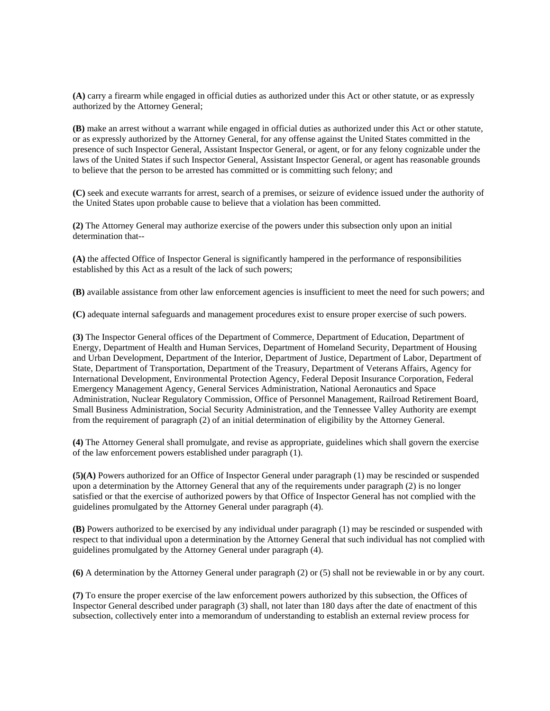**(A)** carry a firearm while engaged in official duties as authorized under this Act or other statute, or as expressly authorized by the Attorney General;

**(B)** make an arrest without a warrant while engaged in official duties as authorized under this Act or other statute, or as expressly authorized by the Attorney General, for any offense against the United States committed in the presence of such Inspector General, Assistant Inspector General, or agent, or for any felony cognizable under the laws of the United States if such Inspector General, Assistant Inspector General, or agent has reasonable grounds to believe that the person to be arrested has committed or is committing such felony; and

**(C)** seek and execute warrants for arrest, search of a premises, or seizure of evidence issued under the authority of the United States upon probable cause to believe that a violation has been committed.

**(2)** The Attorney General may authorize exercise of the powers under this subsection only upon an initial determination that--

**(A)** the affected Office of Inspector General is significantly hampered in the performance of responsibilities established by this Act as a result of the lack of such powers;

**(B)** available assistance from other law enforcement agencies is insufficient to meet the need for such powers; and

**(C)** adequate internal safeguards and management procedures exist to ensure proper exercise of such powers.

**(3)** The Inspector General offices of the Department of Commerce, Department of Education, Department of Energy, Department of Health and Human Services, Department of Homeland Security, Department of Housing and Urban Development, Department of the Interior, Department of Justice, Department of Labor, Department of State, Department of Transportation, Department of the Treasury, Department of Veterans Affairs, Agency for International Development, Environmental Protection Agency, Federal Deposit Insurance Corporation, Federal Emergency Management Agency, General Services Administration, National Aeronautics and Space Administration, Nuclear Regulatory Commission, Office of Personnel Management, Railroad Retirement Board, Small Business Administration, Social Security Administration, and the Tennessee Valley Authority are exempt from the requirement of paragraph (2) of an initial determination of eligibility by the Attorney General.

**(4)** The Attorney General shall promulgate, and revise as appropriate, guidelines which shall govern the exercise of the law enforcement powers established under paragraph (1).

**(5)(A)** Powers authorized for an Office of Inspector General under paragraph (1) may be rescinded or suspended upon a determination by the Attorney General that any of the requirements under paragraph (2) is no longer satisfied or that the exercise of authorized powers by that Office of Inspector General has not complied with the guidelines promulgated by the Attorney General under paragraph (4).

**(B)** Powers authorized to be exercised by any individual under paragraph (1) may be rescinded or suspended with respect to that individual upon a determination by the Attorney General that such individual has not complied with guidelines promulgated by the Attorney General under paragraph (4).

**(6)** A determination by the Attorney General under paragraph (2) or (5) shall not be reviewable in or by any court.

**(7)** To ensure the proper exercise of the law enforcement powers authorized by this subsection, the Offices of Inspector General described under paragraph (3) shall, not later than 180 days after the date of enactment of this subsection, collectively enter into a memorandum of understanding to establish an external review process for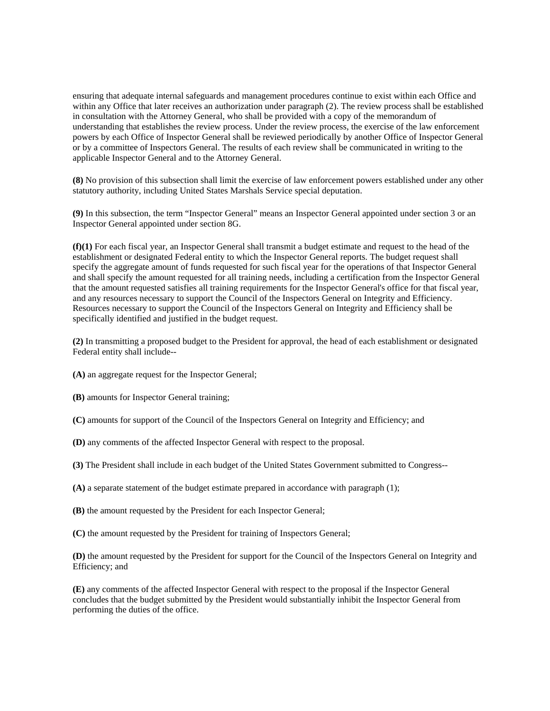ensuring that adequate internal safeguards and management procedures continue to exist within each Office and within any Office that later receives an authorization under paragraph (2). The review process shall be established in consultation with the Attorney General, who shall be provided with a copy of the memorandum of understanding that establishes the review process. Under the review process, the exercise of the law enforcement powers by each Office of Inspector General shall be reviewed periodically by another Office of Inspector General or by a committee of Inspectors General. The results of each review shall be communicated in writing to the applicable Inspector General and to the Attorney General.

**(8)** No provision of this subsection shall limit the exercise of law enforcement powers established under any other statutory authority, including United States Marshals Service special deputation.

**(9)** In this subsection, the term "Inspector General" means an Inspector General appointed under section 3 or an Inspector General appointed under section 8G.

**(f)(1)** For each fiscal year, an Inspector General shall transmit a budget estimate and request to the head of the establishment or designated Federal entity to which the Inspector General reports. The budget request shall specify the aggregate amount of funds requested for such fiscal year for the operations of that Inspector General and shall specify the amount requested for all training needs, including a certification from the Inspector General that the amount requested satisfies all training requirements for the Inspector General's office for that fiscal year, and any resources necessary to support the Council of the Inspectors General on Integrity and Efficiency. Resources necessary to support the Council of the Inspectors General on Integrity and Efficiency shall be specifically identified and justified in the budget request.

**(2)** In transmitting a proposed budget to the President for approval, the head of each establishment or designated Federal entity shall include--

- **(A)** an aggregate request for the Inspector General;
- **(B)** amounts for Inspector General training;
- **(C)** amounts for support of the Council of the Inspectors General on Integrity and Efficiency; and
- **(D)** any comments of the affected Inspector General with respect to the proposal.
- **(3)** The President shall include in each budget of the United States Government submitted to Congress--
- **(A)** a separate statement of the budget estimate prepared in accordance with paragraph (1);
- **(B)** the amount requested by the President for each Inspector General;

**(C)** the amount requested by the President for training of Inspectors General;

**(D)** the amount requested by the President for support for the Council of the Inspectors General on Integrity and Efficiency; and

**(E)** any comments of the affected Inspector General with respect to the proposal if the Inspector General concludes that the budget submitted by the President would substantially inhibit the Inspector General from performing the duties of the office.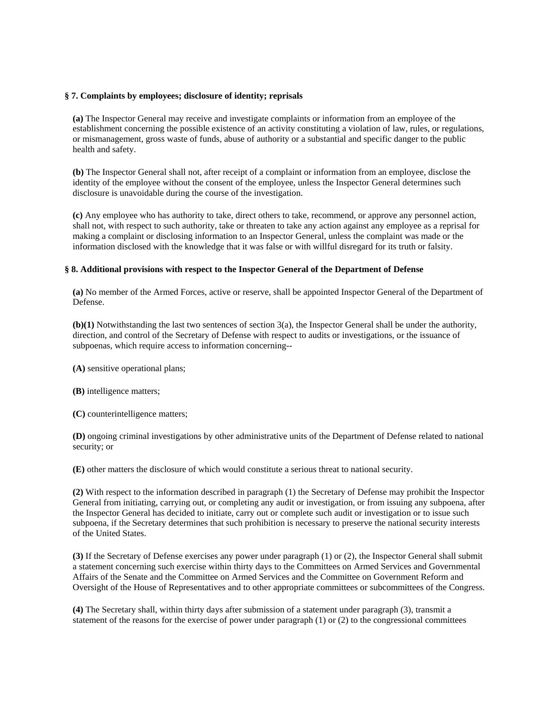## **§ 7. Complaints by employees; disclosure of identity; reprisals**

**(a)** The Inspector General may receive and investigate complaints or information from an employee of the establishment concerning the possible existence of an activity constituting a violation of law, rules, or regulations, or mismanagement, gross waste of funds, abuse of authority or a substantial and specific danger to the public health and safety.

**(b)** The Inspector General shall not, after receipt of a complaint or information from an employee, disclose the identity of the employee without the consent of the employee, unless the Inspector General determines such disclosure is unavoidable during the course of the investigation.

**(c)** Any employee who has authority to take, direct others to take, recommend, or approve any personnel action, shall not, with respect to such authority, take or threaten to take any action against any employee as a reprisal for making a complaint or disclosing information to an Inspector General, unless the complaint was made or the information disclosed with the knowledge that it was false or with willful disregard for its truth or falsity.

## **§ 8. Additional provisions with respect to the Inspector General of the Department of Defense**

**(a)** No member of the Armed Forces, active or reserve, shall be appointed Inspector General of the Department of Defense.

**(b)(1)** Notwithstanding the last two sentences of section 3(a), the Inspector General shall be under the authority, direction, and control of the Secretary of Defense with respect to audits or investigations, or the issuance of subpoenas, which require access to information concerning--

**(A)** sensitive operational plans;

**(B)** intelligence matters;

**(C)** counterintelligence matters;

**(D)** ongoing criminal investigations by other administrative units of the Department of Defense related to national security; or

**(E)** other matters the disclosure of which would constitute a serious threat to national security.

**(2)** With respect to the information described in paragraph (1) the Secretary of Defense may prohibit the Inspector General from initiating, carrying out, or completing any audit or investigation, or from issuing any subpoena, after the Inspector General has decided to initiate, carry out or complete such audit or investigation or to issue such subpoena, if the Secretary determines that such prohibition is necessary to preserve the national security interests of the United States.

**(3)** If the Secretary of Defense exercises any power under paragraph (1) or (2), the Inspector General shall submit a statement concerning such exercise within thirty days to the Committees on Armed Services and Governmental Affairs of the Senate and the Committee on Armed Services and the Committee on Government Reform and Oversight of the House of Representatives and to other appropriate committees or subcommittees of the Congress.

**(4)** The Secretary shall, within thirty days after submission of a statement under paragraph (3), transmit a statement of the reasons for the exercise of power under paragraph (1) or (2) to the congressional committees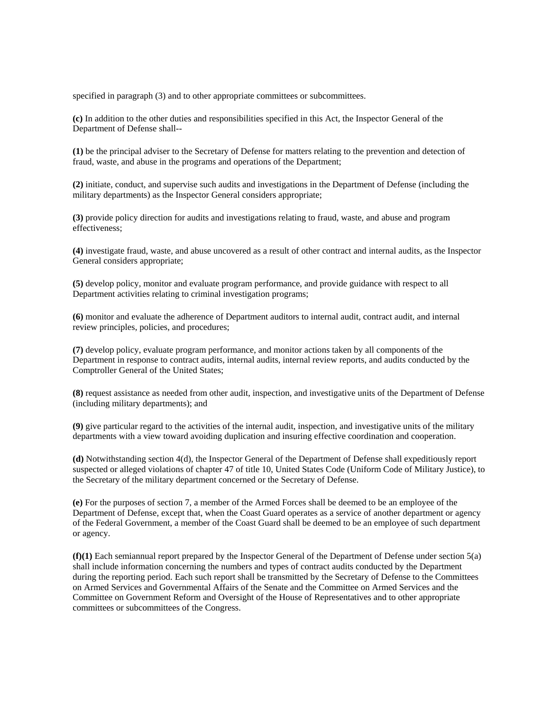specified in paragraph (3) and to other appropriate committees or subcommittees.

**(c)** In addition to the other duties and responsibilities specified in this Act, the Inspector General of the Department of Defense shall--

**(1)** be the principal adviser to the Secretary of Defense for matters relating to the prevention and detection of fraud, waste, and abuse in the programs and operations of the Department;

**(2)** initiate, conduct, and supervise such audits and investigations in the Department of Defense (including the military departments) as the Inspector General considers appropriate;

**(3)** provide policy direction for audits and investigations relating to fraud, waste, and abuse and program effectiveness;

**(4)** investigate fraud, waste, and abuse uncovered as a result of other contract and internal audits, as the Inspector General considers appropriate;

**(5)** develop policy, monitor and evaluate program performance, and provide guidance with respect to all Department activities relating to criminal investigation programs;

**(6)** monitor and evaluate the adherence of Department auditors to internal audit, contract audit, and internal review principles, policies, and procedures;

**(7)** develop policy, evaluate program performance, and monitor actions taken by all components of the Department in response to contract audits, internal audits, internal review reports, and audits conducted by the Comptroller General of the United States;

**(8)** request assistance as needed from other audit, inspection, and investigative units of the Department of Defense (including military departments); and

**(9)** give particular regard to the activities of the internal audit, inspection, and investigative units of the military departments with a view toward avoiding duplication and insuring effective coordination and cooperation.

**(d)** Notwithstanding section 4(d), the Inspector General of the Department of Defense shall expeditiously report suspected or alleged violations of chapter 47 of title 10, United States Code (Uniform Code of Military Justice), to the Secretary of the military department concerned or the Secretary of Defense.

**(e)** For the purposes of section 7, a member of the Armed Forces shall be deemed to be an employee of the Department of Defense, except that, when the Coast Guard operates as a service of another department or agency of the Federal Government, a member of the Coast Guard shall be deemed to be an employee of such department or agency.

**(f)(1)** Each semiannual report prepared by the Inspector General of the Department of Defense under section 5(a) shall include information concerning the numbers and types of contract audits conducted by the Department during the reporting period. Each such report shall be transmitted by the Secretary of Defense to the Committees on Armed Services and Governmental Affairs of the Senate and the Committee on Armed Services and the Committee on Government Reform and Oversight of the House of Representatives and to other appropriate committees or subcommittees of the Congress.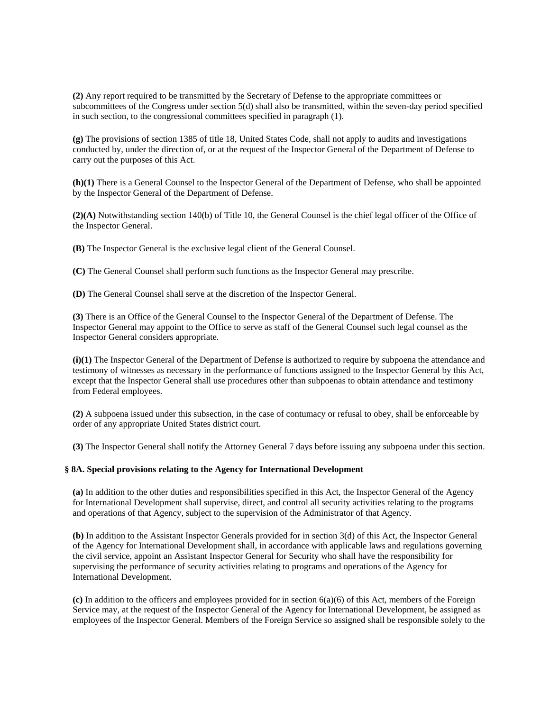**(2)** Any report required to be transmitted by the Secretary of Defense to the appropriate committees or subcommittees of the Congress under section 5(d) shall also be transmitted, within the seven-day period specified in such section, to the congressional committees specified in paragraph (1).

**(g)** The provisions of section 1385 of title 18, United States Code, shall not apply to audits and investigations conducted by, under the direction of, or at the request of the Inspector General of the Department of Defense to carry out the purposes of this Act.

**(h)(1)** There is a General Counsel to the Inspector General of the Department of Defense, who shall be appointed by the Inspector General of the Department of Defense.

**(2)(A)** Notwithstanding section 140(b) of Title 10, the General Counsel is the chief legal officer of the Office of the Inspector General.

**(B)** The Inspector General is the exclusive legal client of the General Counsel.

**(C)** The General Counsel shall perform such functions as the Inspector General may prescribe.

**(D)** The General Counsel shall serve at the discretion of the Inspector General.

**(3)** There is an Office of the General Counsel to the Inspector General of the Department of Defense. The Inspector General may appoint to the Office to serve as staff of the General Counsel such legal counsel as the Inspector General considers appropriate.

**(i)(1)** The Inspector General of the Department of Defense is authorized to require by subpoena the attendance and testimony of witnesses as necessary in the performance of functions assigned to the Inspector General by this Act, except that the Inspector General shall use procedures other than subpoenas to obtain attendance and testimony from Federal employees.

**(2)** A subpoena issued under this subsection, in the case of contumacy or refusal to obey, shall be enforceable by order of any appropriate United States district court.

**(3)** The Inspector General shall notify the Attorney General 7 days before issuing any subpoena under this section.

### **§ 8A. Special provisions relating to the Agency for International Development**

**(a)** In addition to the other duties and responsibilities specified in this Act, the Inspector General of the Agency for International Development shall supervise, direct, and control all security activities relating to the programs and operations of that Agency, subject to the supervision of the Administrator of that Agency.

**(b)** In addition to the Assistant Inspector Generals provided for in section 3(d) of this Act, the Inspector General of the Agency for International Development shall, in accordance with applicable laws and regulations governing the civil service, appoint an Assistant Inspector General for Security who shall have the responsibility for supervising the performance of security activities relating to programs and operations of the Agency for International Development.

**(c)** In addition to the officers and employees provided for in section 6(a)(6) of this Act, members of the Foreign Service may, at the request of the Inspector General of the Agency for International Development, be assigned as employees of the Inspector General. Members of the Foreign Service so assigned shall be responsible solely to the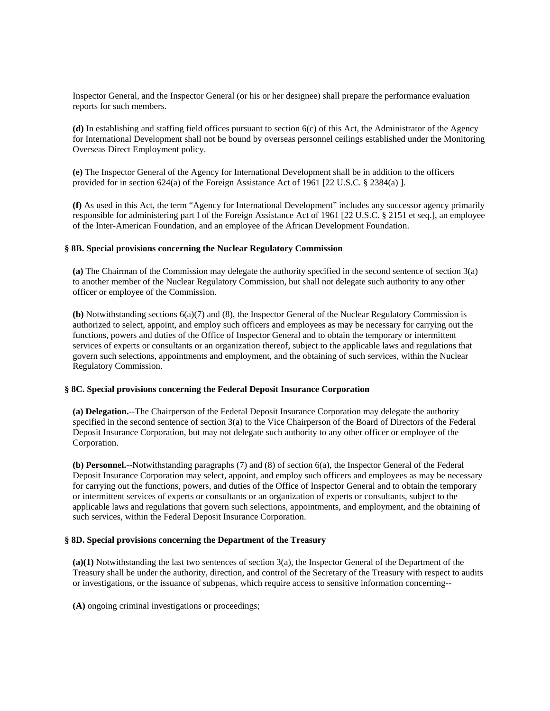Inspector General, and the Inspector General (or his or her designee) shall prepare the performance evaluation reports for such members.

**(d)** In establishing and staffing field offices pursuant to section 6(c) of this Act, the Administrator of the Agency for International Development shall not be bound by overseas personnel ceilings established under the Monitoring Overseas Direct Employment policy.

**(e)** The Inspector General of the Agency for International Development shall be in addition to the officers provided for in section 624(a) of the Foreign Assistance Act of 1961 [22 U.S.C. § 2384(a) ].

**(f)** As used in this Act, the term "Agency for International Development" includes any successor agency primarily responsible for administering part I of the Foreign Assistance Act of 1961 [22 U.S.C. § 2151 et seq.], an employee of the Inter-American Foundation, and an employee of the African Development Foundation.

### **§ 8B. Special provisions concerning the Nuclear Regulatory Commission**

**(a)** The Chairman of the Commission may delegate the authority specified in the second sentence of section 3(a) to another member of the Nuclear Regulatory Commission, but shall not delegate such authority to any other officer or employee of the Commission.

**(b)** Notwithstanding sections 6(a)(7) and (8), the Inspector General of the Nuclear Regulatory Commission is authorized to select, appoint, and employ such officers and employees as may be necessary for carrying out the functions, powers and duties of the Office of Inspector General and to obtain the temporary or intermittent services of experts or consultants or an organization thereof, subject to the applicable laws and regulations that govern such selections, appointments and employment, and the obtaining of such services, within the Nuclear Regulatory Commission.

#### **§ 8C. Special provisions concerning the Federal Deposit Insurance Corporation**

**(a) Delegation.**--The Chairperson of the Federal Deposit Insurance Corporation may delegate the authority specified in the second sentence of section 3(a) to the Vice Chairperson of the Board of Directors of the Federal Deposit Insurance Corporation, but may not delegate such authority to any other officer or employee of the Corporation.

**(b) Personnel.**--Notwithstanding paragraphs (7) and (8) of section 6(a), the Inspector General of the Federal Deposit Insurance Corporation may select, appoint, and employ such officers and employees as may be necessary for carrying out the functions, powers, and duties of the Office of Inspector General and to obtain the temporary or intermittent services of experts or consultants or an organization of experts or consultants, subject to the applicable laws and regulations that govern such selections, appointments, and employment, and the obtaining of such services, within the Federal Deposit Insurance Corporation.

### **§ 8D. Special provisions concerning the Department of the Treasury**

**(a)(1)** Notwithstanding the last two sentences of section 3(a), the Inspector General of the Department of the Treasury shall be under the authority, direction, and control of the Secretary of the Treasury with respect to audits or investigations, or the issuance of subpenas, which require access to sensitive information concerning--

**(A)** ongoing criminal investigations or proceedings;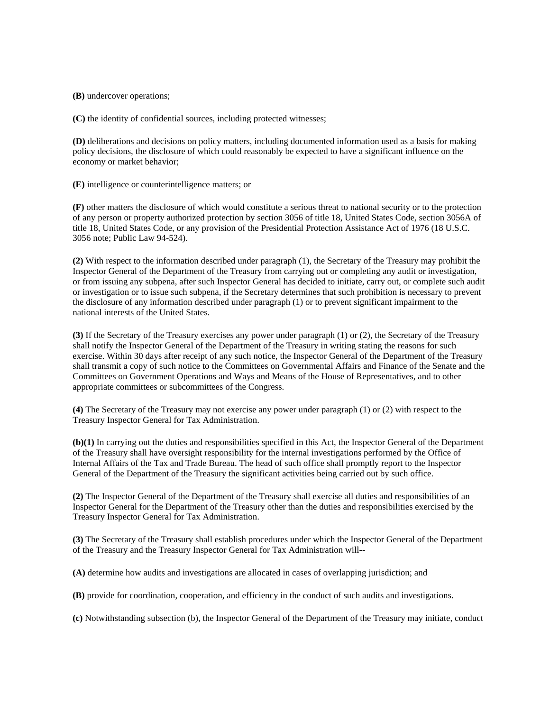**(B)** undercover operations;

**(C)** the identity of confidential sources, including protected witnesses;

**(D)** deliberations and decisions on policy matters, including documented information used as a basis for making policy decisions, the disclosure of which could reasonably be expected to have a significant influence on the economy or market behavior;

**(E)** intelligence or counterintelligence matters; or

**(F)** other matters the disclosure of which would constitute a serious threat to national security or to the protection of any person or property authorized protection by section 3056 of title 18, United States Code, section 3056A of title 18, United States Code, or any provision of the Presidential Protection Assistance Act of 1976 (18 U.S.C. 3056 note; Public Law 94-524).

**(2)** With respect to the information described under paragraph (1), the Secretary of the Treasury may prohibit the Inspector General of the Department of the Treasury from carrying out or completing any audit or investigation, or from issuing any subpena, after such Inspector General has decided to initiate, carry out, or complete such audit or investigation or to issue such subpena, if the Secretary determines that such prohibition is necessary to prevent the disclosure of any information described under paragraph (1) or to prevent significant impairment to the national interests of the United States.

**(3)** If the Secretary of the Treasury exercises any power under paragraph (1) or (2), the Secretary of the Treasury shall notify the Inspector General of the Department of the Treasury in writing stating the reasons for such exercise. Within 30 days after receipt of any such notice, the Inspector General of the Department of the Treasury shall transmit a copy of such notice to the Committees on Governmental Affairs and Finance of the Senate and the Committees on Government Operations and Ways and Means of the House of Representatives, and to other appropriate committees or subcommittees of the Congress.

**(4)** The Secretary of the Treasury may not exercise any power under paragraph (1) or (2) with respect to the Treasury Inspector General for Tax Administration.

**(b)(1)** In carrying out the duties and responsibilities specified in this Act, the Inspector General of the Department of the Treasury shall have oversight responsibility for the internal investigations performed by the Office of Internal Affairs of the Tax and Trade Bureau. The head of such office shall promptly report to the Inspector General of the Department of the Treasury the significant activities being carried out by such office.

**(2)** The Inspector General of the Department of the Treasury shall exercise all duties and responsibilities of an Inspector General for the Department of the Treasury other than the duties and responsibilities exercised by the Treasury Inspector General for Tax Administration.

**(3)** The Secretary of the Treasury shall establish procedures under which the Inspector General of the Department of the Treasury and the Treasury Inspector General for Tax Administration will--

**(A)** determine how audits and investigations are allocated in cases of overlapping jurisdiction; and

**(B)** provide for coordination, cooperation, and efficiency in the conduct of such audits and investigations.

**(c)** Notwithstanding subsection (b), the Inspector General of the Department of the Treasury may initiate, conduct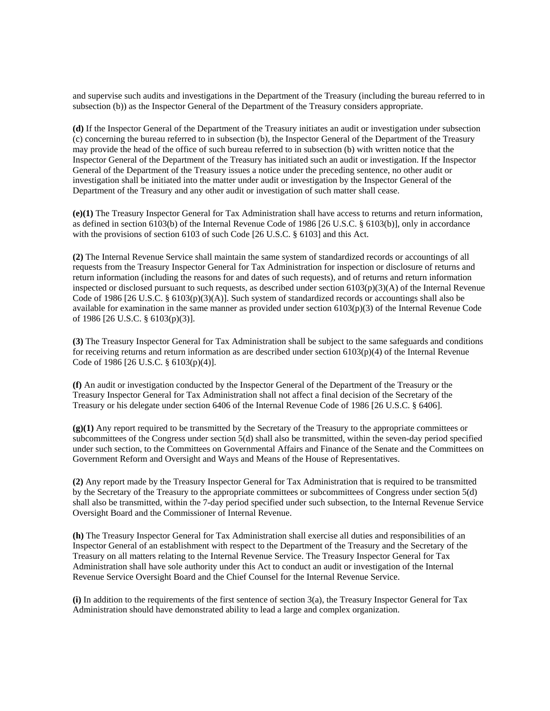and supervise such audits and investigations in the Department of the Treasury (including the bureau referred to in subsection (b)) as the Inspector General of the Department of the Treasury considers appropriate.

**(d)** If the Inspector General of the Department of the Treasury initiates an audit or investigation under subsection (c) concerning the bureau referred to in subsection (b), the Inspector General of the Department of the Treasury may provide the head of the office of such bureau referred to in subsection (b) with written notice that the Inspector General of the Department of the Treasury has initiated such an audit or investigation. If the Inspector General of the Department of the Treasury issues a notice under the preceding sentence, no other audit or investigation shall be initiated into the matter under audit or investigation by the Inspector General of the Department of the Treasury and any other audit or investigation of such matter shall cease.

**(e)(1)** The Treasury Inspector General for Tax Administration shall have access to returns and return information, as defined in section 6103(b) of the Internal Revenue Code of 1986 [26 U.S.C. § 6103(b)], only in accordance with the provisions of section 6103 of such Code [26 U.S.C. § 6103] and this Act.

**(2)** The Internal Revenue Service shall maintain the same system of standardized records or accountings of all requests from the Treasury Inspector General for Tax Administration for inspection or disclosure of returns and return information (including the reasons for and dates of such requests), and of returns and return information inspected or disclosed pursuant to such requests, as described under section  $6103(p)(3)(A)$  of the Internal Revenue Code of 1986 [26 U.S.C. § 6103(p)(3)(A)]. Such system of standardized records or accountings shall also be available for examination in the same manner as provided under section 6103(p)(3) of the Internal Revenue Code of 1986 [[26 U.S.C. § 6103\(p\)\(3\)](http://www.westlaw.com/Find/Default.wl?rs=dfa1.0&vr=2.0&DB=1000546&DocName=26USCAS6103&FindType=Y&ReferencePositionType=S&ReferencePosition=44f6000007ee7)].

**(3)** The Treasury Inspector General for Tax Administration shall be subject to the same safeguards and conditions for receiving returns and return information as are described under section  $6103(p)(4)$  of the Internal Revenue Code of 1986 [26 U.S.C. § 6103(p)(4)].

**(f)** An audit or investigation conducted by the Inspector General of the Department of the Treasury or the Treasury Inspector General for Tax Administration shall not affect a final decision of the Secretary of the Treasury or his delegate under section 6406 of the Internal Revenue Code of 1986 [26 U.S.C. § 6406].

**(g)(1)** Any report required to be transmitted by the Secretary of the Treasury to the appropriate committees or subcommittees of the Congress under section 5(d) shall also be transmitted, within the seven-day period specified under such section, to the Committees on Governmental Affairs and Finance of the Senate and the Committees on Government Reform and Oversight and Ways and Means of the House of Representatives.

**(2)** Any report made by the Treasury Inspector General for Tax Administration that is required to be transmitted by the Secretary of the Treasury to the appropriate committees or subcommittees of Congress under section 5(d) shall also be transmitted, within the 7-day period specified under such subsection, to the Internal Revenue Service Oversight Board and the Commissioner of Internal Revenue.

**(h)** The Treasury Inspector General for Tax Administration shall exercise all duties and responsibilities of an Inspector General of an establishment with respect to the Department of the Treasury and the Secretary of the Treasury on all matters relating to the Internal Revenue Service. The Treasury Inspector General for Tax Administration shall have sole authority under this Act to conduct an audit or investigation of the Internal Revenue Service Oversight Board and the Chief Counsel for the Internal Revenue Service.

**(i)** In addition to the requirements of the first sentence of section 3(a), the Treasury Inspector General for Tax Administration should have demonstrated ability to lead a large and complex organization.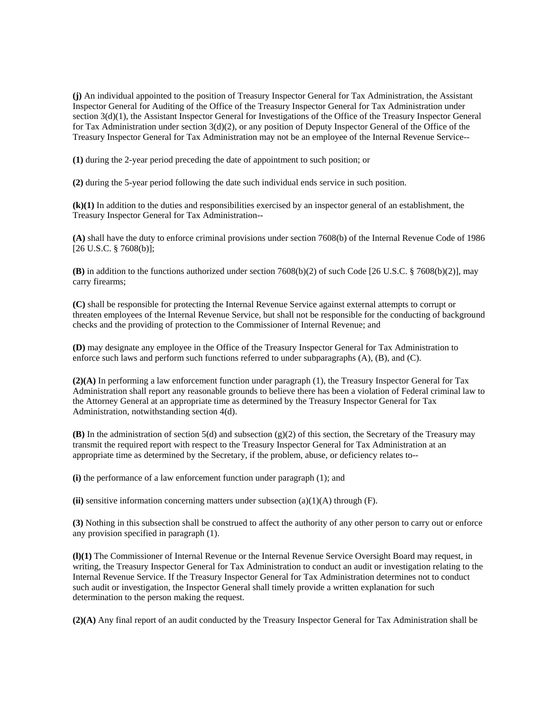**(j)** An individual appointed to the position of Treasury Inspector General for Tax Administration, the Assistant Inspector General for Auditing of the Office of the Treasury Inspector General for Tax Administration under section 3(d)(1), the Assistant Inspector General for Investigations of the Office of the Treasury Inspector General for Tax Administration under section 3(d)(2), or any position of Deputy Inspector General of the Office of the Treasury Inspector General for Tax Administration may not be an employee of the Internal Revenue Service--

**(1)** during the 2-year period preceding the date of appointment to such position; or

**(2)** during the 5-year period following the date such individual ends service in such position.

**(k)(1)** In addition to the duties and responsibilities exercised by an inspector general of an establishment, the Treasury Inspector General for Tax Administration--

**(A)** shall have the duty to enforce criminal provisions under section 7608(b) of the Internal Revenue Code of 1986 [26 U.S.C. § 7608(b)];

**(B)** in addition to the functions authorized under section 7608(b)(2) of such Code [26 U.S.C. § 7608(b)(2)], may carry firearms;

**(C)** shall be responsible for protecting the Internal Revenue Service against external attempts to corrupt or threaten employees of the Internal Revenue Service, but shall not be responsible for the conducting of background checks and the providing of protection to the Commissioner of Internal Revenue; and

**(D)** may designate any employee in the Office of the Treasury Inspector General for Tax Administration to enforce such laws and perform such functions referred to under subparagraphs (A), (B), and (C).

**(2)(A)** In performing a law enforcement function under paragraph (1), the Treasury Inspector General for Tax Administration shall report any reasonable grounds to believe there has been a violation of Federal criminal law to the Attorney General at an appropriate time as determined by the Treasury Inspector General for Tax Administration, notwithstanding section 4(d).

**(B)** In the administration of section  $5(d)$  and subsection  $(g)(2)$  of this section, the Secretary of the Treasury may transmit the required report with respect to the Treasury Inspector General for Tax Administration at an appropriate time as determined by the Secretary, if the problem, abuse, or deficiency relates to--

**(i)** the performance of a law enforcement function under paragraph (1); and

**(ii)** sensitive information concerning matters under subsection (a)(1)(A) through (F).

**(3)** Nothing in this subsection shall be construed to affect the authority of any other person to carry out or enforce any provision specified in paragraph (1).

**(l)(1)** The Commissioner of Internal Revenue or the Internal Revenue Service Oversight Board may request, in writing, the Treasury Inspector General for Tax Administration to conduct an audit or investigation relating to the Internal Revenue Service. If the Treasury Inspector General for Tax Administration determines not to conduct such audit or investigation, the Inspector General shall timely provide a written explanation for such determination to the person making the request.

**(2)(A)** Any final report of an audit conducted by the Treasury Inspector General for Tax Administration shall be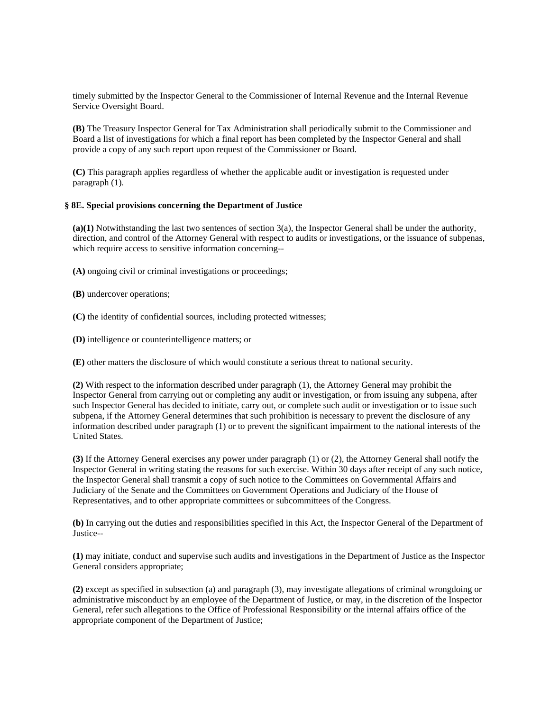timely submitted by the Inspector General to the Commissioner of Internal Revenue and the Internal Revenue Service Oversight Board.

**(B)** The Treasury Inspector General for Tax Administration shall periodically submit to the Commissioner and Board a list of investigations for which a final report has been completed by the Inspector General and shall provide a copy of any such report upon request of the Commissioner or Board.

**(C)** This paragraph applies regardless of whether the applicable audit or investigation is requested under paragraph (1).

## **§ 8E. Special provisions concerning the Department of Justice**

**(a)(1)** Notwithstanding the last two sentences of section 3(a), the Inspector General shall be under the authority, direction, and control of the Attorney General with respect to audits or investigations, or the issuance of subpenas, which require access to sensitive information concerning--

**(A)** ongoing civil or criminal investigations or proceedings;

**(B)** undercover operations;

**(C)** the identity of confidential sources, including protected witnesses;

**(D)** intelligence or counterintelligence matters; or

**(E)** other matters the disclosure of which would constitute a serious threat to national security.

**(2)** With respect to the information described under paragraph (1), the Attorney General may prohibit the Inspector General from carrying out or completing any audit or investigation, or from issuing any subpena, after such Inspector General has decided to initiate, carry out, or complete such audit or investigation or to issue such subpena, if the Attorney General determines that such prohibition is necessary to prevent the disclosure of any information described under paragraph (1) or to prevent the significant impairment to the national interests of the United States.

**(3)** If the Attorney General exercises any power under paragraph (1) or (2), the Attorney General shall notify the Inspector General in writing stating the reasons for such exercise. Within 30 days after receipt of any such notice, the Inspector General shall transmit a copy of such notice to the Committees on Governmental Affairs and Judiciary of the Senate and the Committees on Government Operations and Judiciary of the House of Representatives, and to other appropriate committees or subcommittees of the Congress.

**(b)** In carrying out the duties and responsibilities specified in this Act, the Inspector General of the Department of Justice--

**(1)** may initiate, conduct and supervise such audits and investigations in the Department of Justice as the Inspector General considers appropriate;

**(2)** except as specified in subsection (a) and paragraph (3), may investigate allegations of criminal wrongdoing or administrative misconduct by an employee of the Department of Justice, or may, in the discretion of the Inspector General, refer such allegations to the Office of Professional Responsibility or the internal affairs office of the appropriate component of the Department of Justice;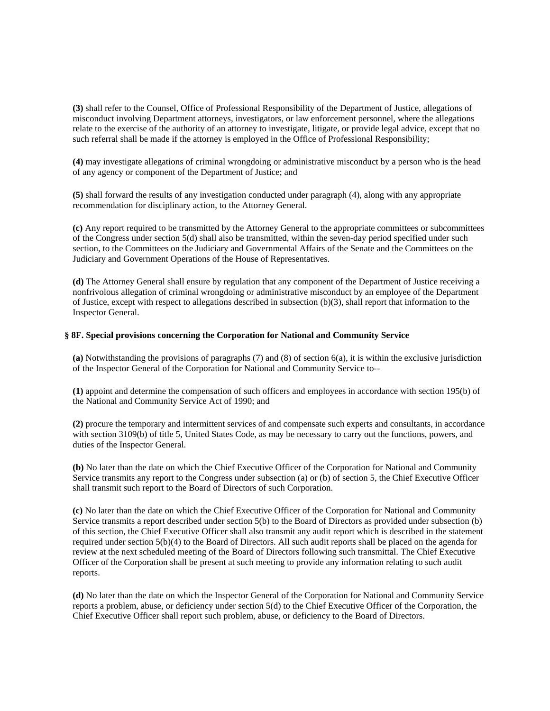**(3)** shall refer to the Counsel, Office of Professional Responsibility of the Department of Justice, allegations of misconduct involving Department attorneys, investigators, or law enforcement personnel, where the allegations relate to the exercise of the authority of an attorney to investigate, litigate, or provide legal advice, except that no such referral shall be made if the attorney is employed in the Office of Professional Responsibility;

**(4)** may investigate allegations of criminal wrongdoing or administrative misconduct by a person who is the head of any agency or component of the Department of Justice; and

**(5)** shall forward the results of any investigation conducted under paragraph (4), along with any appropriate recommendation for disciplinary action, to the Attorney General.

**(c)** Any report required to be transmitted by the Attorney General to the appropriate committees or subcommittees of the Congress under section 5(d) shall also be transmitted, within the seven-day period specified under such section, to the Committees on the Judiciary and Governmental Affairs of the Senate and the Committees on the Judiciary and Government Operations of the House of Representatives.

**(d)** The Attorney General shall ensure by regulation that any component of the Department of Justice receiving a nonfrivolous allegation of criminal wrongdoing or administrative misconduct by an employee of the Department of Justice, except with respect to allegations described in subsection (b)(3), shall report that information to the Inspector General.

## **§ 8F. Special provisions concerning the Corporation for National and Community Service**

**(a)** Notwithstanding the provisions of paragraphs (7) and (8) of section 6(a), it is within the exclusive jurisdiction of the Inspector General of the Corporation for National and Community Service to--

**(1)** appoint and determine the compensation of such officers and employees in accordance with section 195(b) of the National and Community Service Act of 1990; and

**(2)** procure the temporary and intermittent services of and compensate such experts and consultants, in accordance with section 3109(b) of title 5, United States Code, as may be necessary to carry out the functions, powers, and duties of the Inspector General.

**(b)** No later than the date on which the Chief Executive Officer of the Corporation for National and Community Service transmits any report to the Congress under subsection (a) or (b) of section 5, the Chief Executive Officer shall transmit such report to the Board of Directors of such Corporation.

**(c)** No later than the date on which the Chief Executive Officer of the Corporation for National and Community Service transmits a report described under section 5(b) to the Board of Directors as provided under subsection (b) of this section, the Chief Executive Officer shall also transmit any audit report which is described in the statement required under section 5(b)(4) to the Board of Directors. All such audit reports shall be placed on the agenda for review at the next scheduled meeting of the Board of Directors following such transmittal. The Chief Executive Officer of the Corporation shall be present at such meeting to provide any information relating to such audit reports.

**(d)** No later than the date on which the Inspector General of the Corporation for National and Community Service reports a problem, abuse, or deficiency under section 5(d) to the Chief Executive Officer of the Corporation, the Chief Executive Officer shall report such problem, abuse, or deficiency to the Board of Directors.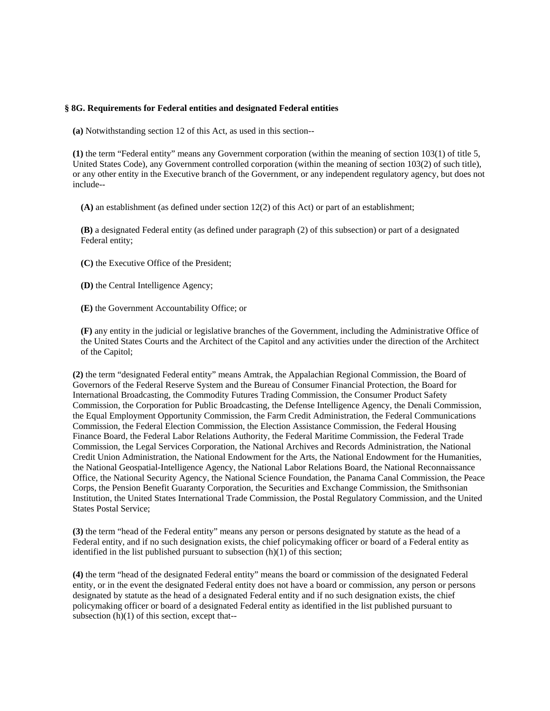## **§ 8G. Requirements for Federal entities and designated Federal entities**

**(a)** Notwithstanding section 12 of this Act, as used in this section--

**(1)** the term "Federal entity" means any Government corporation (within the meaning of section 103(1) of title 5, United States Code), any Government controlled corporation (within the meaning of section 103(2) of such title), or any other entity in the Executive branch of the Government, or any independent regulatory agency, but does not include--

**(A)** an establishment (as defined under section 12(2) of this Act) or part of an establishment;

**(B)** a designated Federal entity (as defined under paragraph (2) of this subsection) or part of a designated Federal entity;

- **(C)** the Executive Office of the President;
- **(D)** the Central Intelligence Agency;
- **(E)** the Government Accountability Office; or

**(F)** any entity in the judicial or legislative branches of the Government, including the Administrative Office of the United States Courts and the Architect of the Capitol and any activities under the direction of the Architect of the Capitol;

**(2)** the term "designated Federal entity" means Amtrak, the Appalachian Regional Commission, the Board of Governors of the Federal Reserve System and the Bureau of Consumer Financial Protection, the Board for International Broadcasting, the Commodity Futures Trading Commission, the Consumer Product Safety Commission, the Corporation for Public Broadcasting, the Defense Intelligence Agency, the Denali Commission, the Equal Employment Opportunity Commission, the Farm Credit Administration, the Federal Communications Commission, the Federal Election Commission, the Election Assistance Commission, the Federal Housing Finance Board, the Federal Labor Relations Authority, the Federal Maritime Commission, the Federal Trade Commission, the Legal Services Corporation, the National Archives and Records Administration, the National Credit Union Administration, the National Endowment for the Arts, the National Endowment for the Humanities, the National Geospatial-Intelligence Agency, the National Labor Relations Board, the National Reconnaissance Office, the National Security Agency, the National Science Foundation, the Panama Canal Commission, the Peace Corps, the Pension Benefit Guaranty Corporation, the Securities and Exchange Commission, the Smithsonian Institution, the United States International Trade Commission, the Postal Regulatory Commission, and the United States Postal Service;

**(3)** the term "head of the Federal entity" means any person or persons designated by statute as the head of a Federal entity, and if no such designation exists, the chief policymaking officer or board of a Federal entity as identified in the list published pursuant to subsection (h)(1) of this section;

**(4)** the term "head of the designated Federal entity" means the board or commission of the designated Federal entity, or in the event the designated Federal entity does not have a board or commission, any person or persons designated by statute as the head of a designated Federal entity and if no such designation exists, the chief policymaking officer or board of a designated Federal entity as identified in the list published pursuant to subsection  $(h)(1)$  of this section, except that--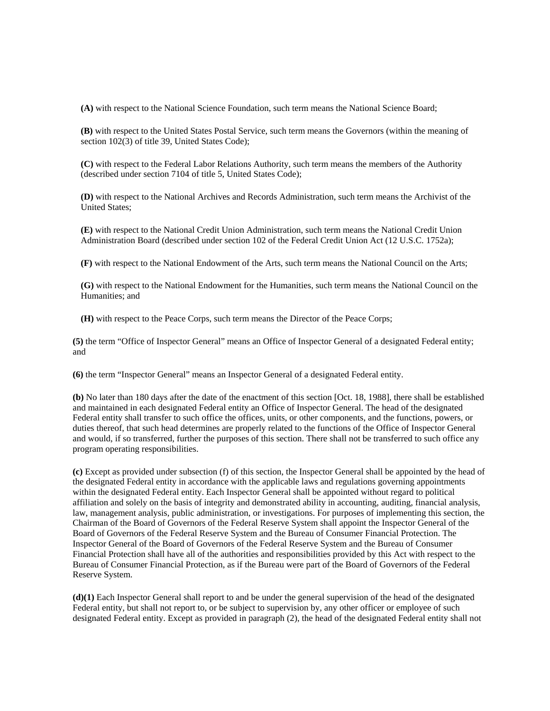**(A)** with respect to the National Science Foundation, such term means the National Science Board;

**(B)** with respect to the United States Postal Service, such term means the Governors (within the meaning of section 102(3) of title 39, United States Code);

**(C)** with respect to the Federal Labor Relations Authority, such term means the members of the Authority (described under section 7104 of title 5, United States Code);

**(D)** with respect to the National Archives and Records Administration, such term means the Archivist of the United States;

**(E)** with respect to the National Credit Union Administration, such term means the National Credit Union Administration Board (described under section 102 of the Federal Credit Union Act (12 U.S.C. 1752a);

**(F)** with respect to the National Endowment of the Arts, such term means the National Council on the Arts;

**(G)** with respect to the National Endowment for the Humanities, such term means the National Council on the Humanities; and

**(H)** with respect to the Peace Corps, such term means the Director of the Peace Corps;

**(5)** the term "Office of Inspector General" means an Office of Inspector General of a designated Federal entity; and

**(6)** the term "Inspector General" means an Inspector General of a designated Federal entity.

**(b)** No later than 180 days after the date of the enactment of this section [Oct. 18, 1988], there shall be established and maintained in each designated Federal entity an Office of Inspector General. The head of the designated Federal entity shall transfer to such office the offices, units, or other components, and the functions, powers, or duties thereof, that such head determines are properly related to the functions of the Office of Inspector General and would, if so transferred, further the purposes of this section. There shall not be transferred to such office any program operating responsibilities.

**(c)** Except as provided under subsection (f) of this section, the Inspector General shall be appointed by the head of the designated Federal entity in accordance with the applicable laws and regulations governing appointments within the designated Federal entity. Each Inspector General shall be appointed without regard to political affiliation and solely on the basis of integrity and demonstrated ability in accounting, auditing, financial analysis, law, management analysis, public administration, or investigations. For purposes of implementing this section, the Chairman of the Board of Governors of the Federal Reserve System shall appoint the Inspector General of the Board of Governors of the Federal Reserve System and the Bureau of Consumer Financial Protection. The Inspector General of the Board of Governors of the Federal Reserve System and the Bureau of Consumer Financial Protection shall have all of the authorities and responsibilities provided by this Act with respect to the Bureau of Consumer Financial Protection, as if the Bureau were part of the Board of Governors of the Federal Reserve System.

**(d)(1)** Each Inspector General shall report to and be under the general supervision of the head of the designated Federal entity, but shall not report to, or be subject to supervision by, any other officer or employee of such designated Federal entity. Except as provided in paragraph (2), the head of the designated Federal entity shall not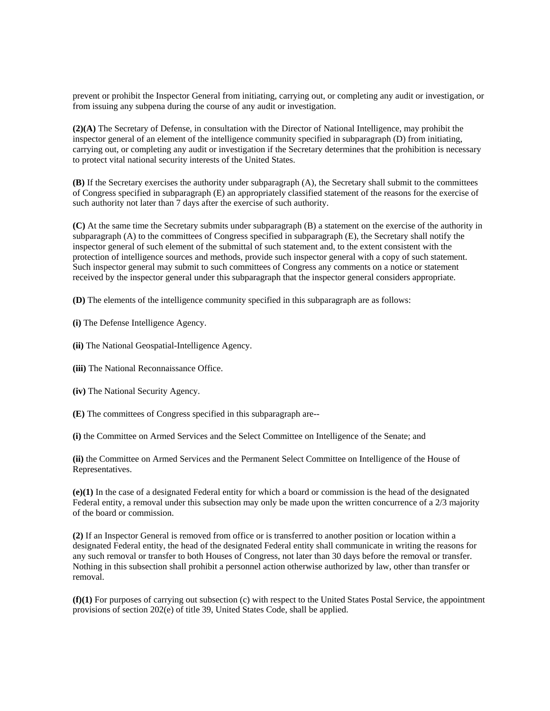prevent or prohibit the Inspector General from initiating, carrying out, or completing any audit or investigation, or from issuing any subpena during the course of any audit or investigation.

**(2)(A)** The Secretary of Defense, in consultation with the Director of National Intelligence, may prohibit the inspector general of an element of the intelligence community specified in subparagraph (D) from initiating, carrying out, or completing any audit or investigation if the Secretary determines that the prohibition is necessary to protect vital national security interests of the United States.

**(B)** If the Secretary exercises the authority under subparagraph (A), the Secretary shall submit to the committees of Congress specified in subparagraph (E) an appropriately classified statement of the reasons for the exercise of such authority not later than 7 days after the exercise of such authority.

**(C)** At the same time the Secretary submits under subparagraph (B) a statement on the exercise of the authority in subparagraph (A) to the committees of Congress specified in subparagraph (E), the Secretary shall notify the inspector general of such element of the submittal of such statement and, to the extent consistent with the protection of intelligence sources and methods, provide such inspector general with a copy of such statement. Such inspector general may submit to such committees of Congress any comments on a notice or statement received by the inspector general under this subparagraph that the inspector general considers appropriate.

**(D)** The elements of the intelligence community specified in this subparagraph are as follows:

**(i)** The Defense Intelligence Agency.

**(ii)** The National Geospatial-Intelligence Agency.

- **(iii)** The National Reconnaissance Office.
- **(iv)** The National Security Agency.
- **(E)** The committees of Congress specified in this subparagraph are--

**(i)** the Committee on Armed Services and the Select Committee on Intelligence of the Senate; and

**(ii)** the Committee on Armed Services and the Permanent Select Committee on Intelligence of the House of Representatives.

**(e)(1)** In the case of a designated Federal entity for which a board or commission is the head of the designated Federal entity, a removal under this subsection may only be made upon the written concurrence of a 2/3 majority of the board or commission.

**(2)** If an Inspector General is removed from office or is transferred to another position or location within a designated Federal entity, the head of the designated Federal entity shall communicate in writing the reasons for any such removal or transfer to both Houses of Congress, not later than 30 days before the removal or transfer. Nothing in this subsection shall prohibit a personnel action otherwise authorized by law, other than transfer or removal.

**(f)(1)** For purposes of carrying out subsection (c) with respect to the United States Postal Service, the appointment provisions of section 202(e) of title 39, United States Code, shall be applied.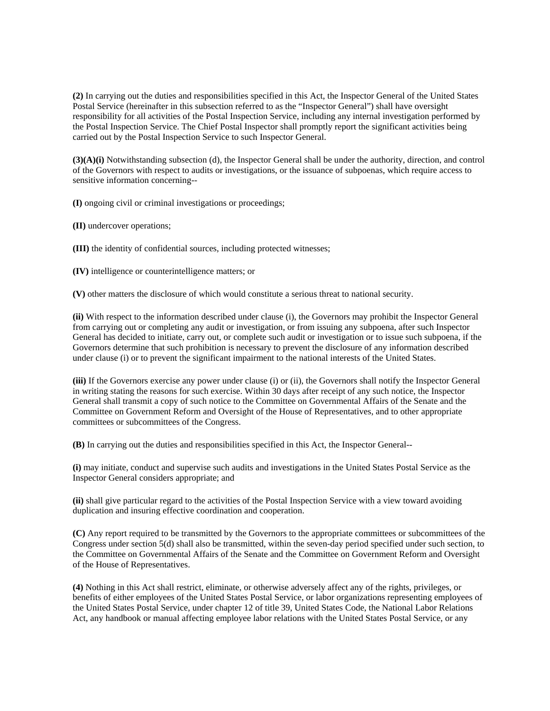**(2)** In carrying out the duties and responsibilities specified in this Act, the Inspector General of the United States Postal Service (hereinafter in this subsection referred to as the "Inspector General") shall have oversight responsibility for all activities of the Postal Inspection Service, including any internal investigation performed by the Postal Inspection Service. The Chief Postal Inspector shall promptly report the significant activities being carried out by the Postal Inspection Service to such Inspector General.

**(3)(A)(i)** Notwithstanding subsection (d), the Inspector General shall be under the authority, direction, and control of the Governors with respect to audits or investigations, or the issuance of subpoenas, which require access to sensitive information concerning--

**(I)** ongoing civil or criminal investigations or proceedings;

**(II)** undercover operations;

**(III)** the identity of confidential sources, including protected witnesses;

**(IV)** intelligence or counterintelligence matters; or

**(V)** other matters the disclosure of which would constitute a serious threat to national security.

**(ii)** With respect to the information described under clause (i), the Governors may prohibit the Inspector General from carrying out or completing any audit or investigation, or from issuing any subpoena, after such Inspector General has decided to initiate, carry out, or complete such audit or investigation or to issue such subpoena, if the Governors determine that such prohibition is necessary to prevent the disclosure of any information described under clause (i) or to prevent the significant impairment to the national interests of the United States.

**(iii)** If the Governors exercise any power under clause (i) or (ii), the Governors shall notify the Inspector General in writing stating the reasons for such exercise. Within 30 days after receipt of any such notice, the Inspector General shall transmit a copy of such notice to the Committee on Governmental Affairs of the Senate and the Committee on Government Reform and Oversight of the House of Representatives, and to other appropriate committees or subcommittees of the Congress.

**(B)** In carrying out the duties and responsibilities specified in this Act, the Inspector General--

**(i)** may initiate, conduct and supervise such audits and investigations in the United States Postal Service as the Inspector General considers appropriate; and

**(ii)** shall give particular regard to the activities of the Postal Inspection Service with a view toward avoiding duplication and insuring effective coordination and cooperation.

**(C)** Any report required to be transmitted by the Governors to the appropriate committees or subcommittees of the Congress under section 5(d) shall also be transmitted, within the seven-day period specified under such section, to the Committee on Governmental Affairs of the Senate and the Committee on Government Reform and Oversight of the House of Representatives.

**(4)** Nothing in this Act shall restrict, eliminate, or otherwise adversely affect any of the rights, privileges, or benefits of either employees of the United States Postal Service, or labor organizations representing employees of the United States Postal Service, under chapter 12 of title 39, United States Code, the National Labor Relations Act, any handbook or manual affecting employee labor relations with the United States Postal Service, or any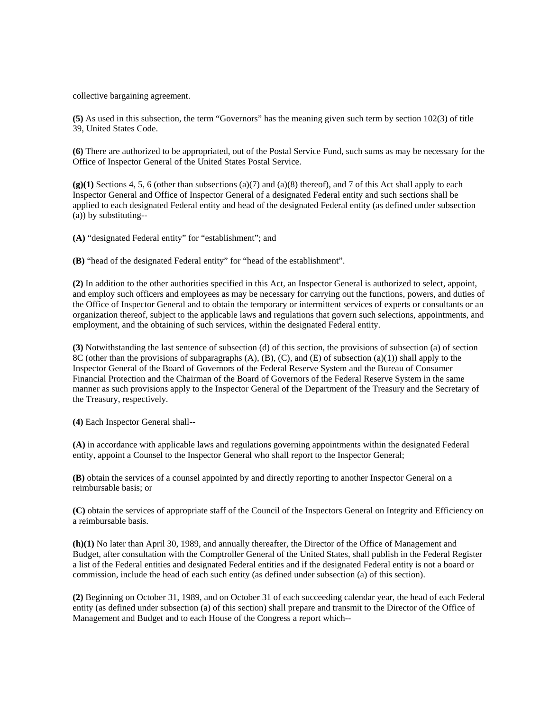collective bargaining agreement.

**(5)** As used in this subsection, the term "Governors" has the meaning given such term by section 102(3) of title 39, United States Code.

**(6)** There are authorized to be appropriated, out of the Postal Service Fund, such sums as may be necessary for the Office of Inspector General of the United States Postal Service.

 $(g)(1)$  Sections 4, 5, 6 (other than subsections (a)(7) and (a)(8) thereof), and 7 of this Act shall apply to each Inspector General and Office of Inspector General of a designated Federal entity and such sections shall be applied to each designated Federal entity and head of the designated Federal entity (as defined under subsection (a)) by substituting--

**(A)** "designated Federal entity" for "establishment"; and

**(B)** "head of the designated Federal entity" for "head of the establishment".

**(2)** In addition to the other authorities specified in this Act, an Inspector General is authorized to select, appoint, and employ such officers and employees as may be necessary for carrying out the functions, powers, and duties of the Office of Inspector General and to obtain the temporary or intermittent services of experts or consultants or an organization thereof, subject to the applicable laws and regulations that govern such selections, appointments, and employment, and the obtaining of such services, within the designated Federal entity.

**(3)** Notwithstanding the last sentence of subsection (d) of this section, the provisions of subsection (a) of section 8C (other than the provisions of subparagraphs  $(A)$ ,  $(B)$ ,  $(C)$ , and  $(E)$  of subsection  $(a)(1)$ ) shall apply to the Inspector General of the Board of Governors of the Federal Reserve System and the Bureau of Consumer Financial Protection and the Chairman of the Board of Governors of the Federal Reserve System in the same manner as such provisions apply to the Inspector General of the Department of the Treasury and the Secretary of the Treasury, respectively.

**(4)** Each Inspector General shall--

**(A)** in accordance with applicable laws and regulations governing appointments within the designated Federal entity, appoint a Counsel to the Inspector General who shall report to the Inspector General;

**(B)** obtain the services of a counsel appointed by and directly reporting to another Inspector General on a reimbursable basis; or

**(C)** obtain the services of appropriate staff of the Council of the Inspectors General on Integrity and Efficiency on a reimbursable basis.

**(h)(1)** No later than April 30, 1989, and annually thereafter, the Director of the Office of Management and Budget, after consultation with the Comptroller General of the United States, shall publish in the Federal Register a list of the Federal entities and designated Federal entities and if the designated Federal entity is not a board or commission, include the head of each such entity (as defined under subsection (a) of this section).

**(2)** Beginning on October 31, 1989, and on October 31 of each succeeding calendar year, the head of each Federal entity (as defined under subsection (a) of this section) shall prepare and transmit to the Director of the Office of Management and Budget and to each House of the Congress a report which--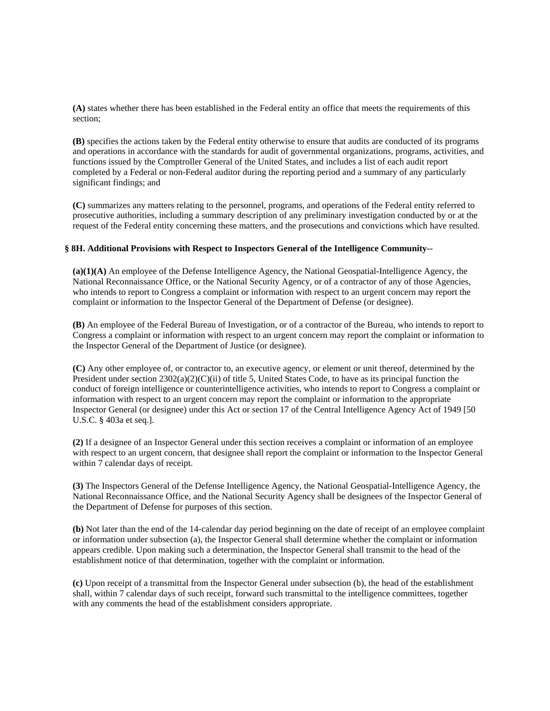**(A)** states whether there has been established in the Federal entity an office that meets the requirements of this section;

**(B)** specifies the actions taken by the Federal entity otherwise to ensure that audits are conducted of its programs and operations in accordance with the standards for audit of governmental organizations, programs, activities, and functions issued by the Comptroller General of the United States, and includes a list of each audit report completed by a Federal or non-Federal auditor during the reporting period and a summary of any particularly significant findings; and

**(C)** summarizes any matters relating to the personnel, programs, and operations of the Federal entity referred to prosecutive authorities, including a summary description of any preliminary investigation conducted by or at the request of the Federal entity concerning these matters, and the prosecutions and convictions which have resulted.

### **§ 8H. Additional Provisions with Respect to Inspectors General of the Intelligence Community--**

**(a)(1)(A)** An employee of the Defense Intelligence Agency, the National Geospatial-Intelligence Agency, the National Reconnaissance Office, or the National Security Agency, or of a contractor of any of those Agencies, who intends to report to Congress a complaint or information with respect to an urgent concern may report the complaint or information to the Inspector General of the Department of Defense (or designee).

**(B)** An employee of the Federal Bureau of Investigation, or of a contractor of the Bureau, who intends to report to Congress a complaint or information with respect to an urgent concern may report the complaint or information to the Inspector General of the Department of Justice (or designee).

**(C)** Any other employee of, or contractor to, an executive agency, or element or unit thereof, determined by the President under section  $2302(a)(2)(C)(ii)$  of title 5, United States Code, to have as its principal function the conduct of foreign intelligence or counterintelligence activities, who intends to report to Congress a complaint or information with respect to an urgent concern may report the complaint or information to the appropriate Inspector General (or designee) under this Act or section 17 of the Central Intelligence Agency Act of 1949 [50 U.S.C. § 403a et seq.].

**(2)** If a designee of an Inspector General under this section receives a complaint or information of an employee with respect to an urgent concern, that designee shall report the complaint or information to the Inspector General within 7 calendar days of receipt.

**(3)** The Inspectors General of the Defense Intelligence Agency, the National Geospatial-Intelligence Agency, the National Reconnaissance Office, and the National Security Agency shall be designees of the Inspector General of the Department of Defense for purposes of this section.

**(b)** Not later than the end of the 14-calendar day period beginning on the date of receipt of an employee complaint or information under subsection (a), the Inspector General shall determine whether the complaint or information appears credible. Upon making such a determination, the Inspector General shall transmit to the head of the establishment notice of that determination, together with the complaint or information.

**(c)** Upon receipt of a transmittal from the Inspector General under subsection (b), the head of the establishment shall, within 7 calendar days of such receipt, forward such transmittal to the intelligence committees, together with any comments the head of the establishment considers appropriate.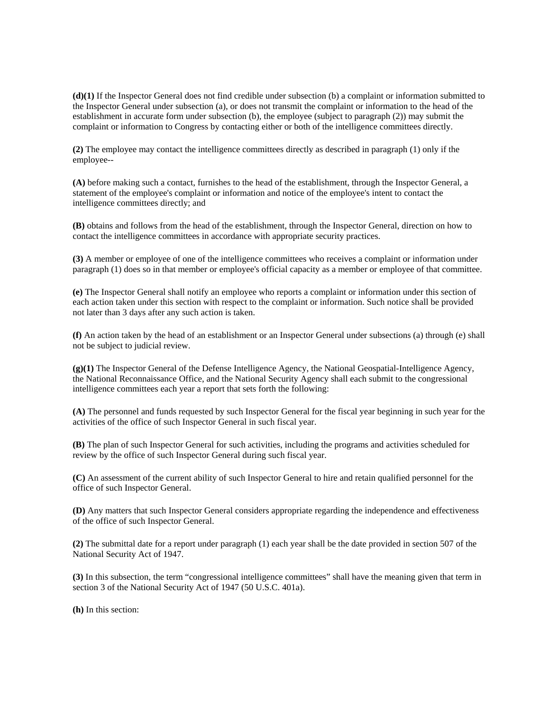**(d)(1)** If the Inspector General does not find credible under subsection (b) a complaint or information submitted to the Inspector General under subsection (a), or does not transmit the complaint or information to the head of the establishment in accurate form under subsection (b), the employee (subject to paragraph (2)) may submit the complaint or information to Congress by contacting either or both of the intelligence committees directly.

**(2)** The employee may contact the intelligence committees directly as described in paragraph (1) only if the employee--

**(A)** before making such a contact, furnishes to the head of the establishment, through the Inspector General, a statement of the employee's complaint or information and notice of the employee's intent to contact the intelligence committees directly; and

**(B)** obtains and follows from the head of the establishment, through the Inspector General, direction on how to contact the intelligence committees in accordance with appropriate security practices.

**(3)** A member or employee of one of the intelligence committees who receives a complaint or information under paragraph (1) does so in that member or employee's official capacity as a member or employee of that committee.

**(e)** The Inspector General shall notify an employee who reports a complaint or information under this section of each action taken under this section with respect to the complaint or information. Such notice shall be provided not later than 3 days after any such action is taken.

**(f)** An action taken by the head of an establishment or an Inspector General under subsections (a) through (e) shall not be subject to judicial review.

**(g)(1)** The Inspector General of the Defense Intelligence Agency, the National Geospatial-Intelligence Agency, the National Reconnaissance Office, and the National Security Agency shall each submit to the congressional intelligence committees each year a report that sets forth the following:

**(A)** The personnel and funds requested by such Inspector General for the fiscal year beginning in such year for the activities of the office of such Inspector General in such fiscal year.

**(B)** The plan of such Inspector General for such activities, including the programs and activities scheduled for review by the office of such Inspector General during such fiscal year.

**(C)** An assessment of the current ability of such Inspector General to hire and retain qualified personnel for the office of such Inspector General.

**(D)** Any matters that such Inspector General considers appropriate regarding the independence and effectiveness of the office of such Inspector General.

**(2)** The submittal date for a report under paragraph (1) each year shall be the date provided in section 507 of the National Security Act of 1947.

**(3)** In this subsection, the term "congressional intelligence committees" shall have the meaning given that term in section 3 of the National Security Act of 1947 (50 U.S.C. 401a).

**(h)** In this section: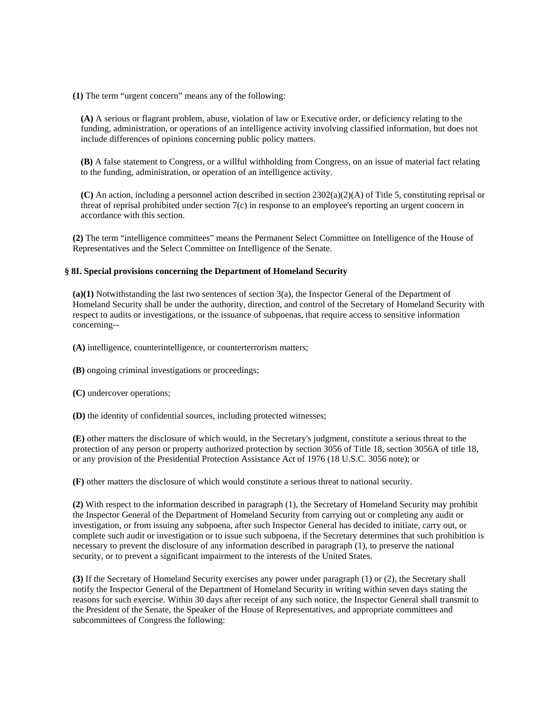**(1)** The term "urgent concern" means any of the following:

**(A)** A serious or flagrant problem, abuse, violation of law or Executive order, or deficiency relating to the funding, administration, or operations of an intelligence activity involving classified information, but does not include differences of opinions concerning public policy matters.

**(B)** A false statement to Congress, or a willful withholding from Congress, on an issue of material fact relating to the funding, administration, or operation of an intelligence activity.

**(C)** An action, including a personnel action described in section 2302(a)(2)(A) of Title 5, constituting reprisal or threat of reprisal prohibited under section 7(c) in response to an employee's reporting an urgent concern in accordance with this section.

**(2)** The term "intelligence committees" means the Permanent Select Committee on Intelligence of the House of Representatives and the Select Committee on Intelligence of the Senate.

## **§ 8I. Special provisions concerning the Department of Homeland Security**

**(a)(1)** Notwithstanding the last two sentences of section 3(a), the Inspector General of the Department of Homeland Security shall be under the authority, direction, and control of the Secretary of Homeland Security with respect to audits or investigations, or the issuance of subpoenas, that require access to sensitive information concerning--

**(A)** intelligence, counterintelligence, or counterterrorism matters;

**(B)** ongoing criminal investigations or proceedings;

**(C)** undercover operations;

**(D)** the identity of confidential sources, including protected witnesses;

**(E)** other matters the disclosure of which would, in the Secretary's judgment, constitute a serious threat to the protection of any person or property authorized protection by section 3056 of Title 18, section 3056A of title 18, or any provision of the Presidential Protection Assistance Act of 1976 (18 U.S.C. 3056 note); or

**(F)** other matters the disclosure of which would constitute a serious threat to national security.

**(2)** With respect to the information described in paragraph (1), the Secretary of Homeland Security may prohibit the Inspector General of the Department of Homeland Security from carrying out or completing any audit or investigation, or from issuing any subpoena, after such Inspector General has decided to initiate, carry out, or complete such audit or investigation or to issue such subpoena, if the Secretary determines that such prohibition is necessary to prevent the disclosure of any information described in paragraph (1), to preserve the national security, or to prevent a significant impairment to the interests of the United States.

**(3)** If the Secretary of Homeland Security exercises any power under paragraph (1) or (2), the Secretary shall notify the Inspector General of the Department of Homeland Security in writing within seven days stating the reasons for such exercise. Within 30 days after receipt of any such notice, the Inspector General shall transmit to the President of the Senate, the Speaker of the House of Representatives, and appropriate committees and subcommittees of Congress the following: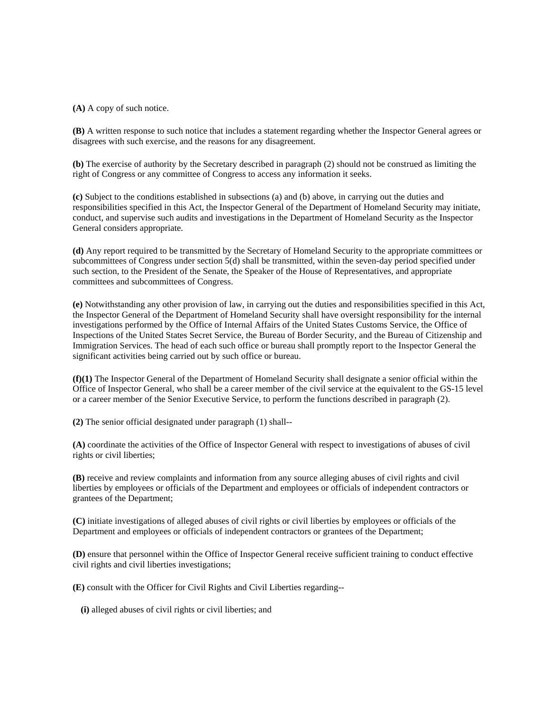**(A)** A copy of such notice.

**(B)** A written response to such notice that includes a statement regarding whether the Inspector General agrees or disagrees with such exercise, and the reasons for any disagreement.

**(b)** The exercise of authority by the Secretary described in paragraph (2) should not be construed as limiting the right of Congress or any committee of Congress to access any information it seeks.

**(c)** Subject to the conditions established in subsections (a) and (b) above, in carrying out the duties and responsibilities specified in this Act, the Inspector General of the Department of Homeland Security may initiate, conduct, and supervise such audits and investigations in the Department of Homeland Security as the Inspector General considers appropriate.

**(d)** Any report required to be transmitted by the Secretary of Homeland Security to the appropriate committees or subcommittees of Congress under section 5(d) shall be transmitted, within the seven-day period specified under such section, to the President of the Senate, the Speaker of the House of Representatives, and appropriate committees and subcommittees of Congress.

**(e)** Notwithstanding any other provision of law, in carrying out the duties and responsibilities specified in this Act, the Inspector General of the Department of Homeland Security shall have oversight responsibility for the internal investigations performed by the Office of Internal Affairs of the United States Customs Service, the Office of Inspections of the United States Secret Service, the Bureau of Border Security, and the Bureau of Citizenship and Immigration Services. The head of each such office or bureau shall promptly report to the Inspector General the significant activities being carried out by such office or bureau.

**(f)(1)** The Inspector General of the Department of Homeland Security shall designate a senior official within the Office of Inspector General, who shall be a career member of the civil service at the equivalent to the GS-15 level or a career member of the Senior Executive Service, to perform the functions described in paragraph (2).

**(2)** The senior official designated under paragraph (1) shall--

**(A)** coordinate the activities of the Office of Inspector General with respect to investigations of abuses of civil rights or civil liberties;

**(B)** receive and review complaints and information from any source alleging abuses of civil rights and civil liberties by employees or officials of the Department and employees or officials of independent contractors or grantees of the Department;

**(C)** initiate investigations of alleged abuses of civil rights or civil liberties by employees or officials of the Department and employees or officials of independent contractors or grantees of the Department;

**(D)** ensure that personnel within the Office of Inspector General receive sufficient training to conduct effective civil rights and civil liberties investigations;

**(E)** consult with the Officer for Civil Rights and Civil Liberties regarding--

**(i)** alleged abuses of civil rights or civil liberties; and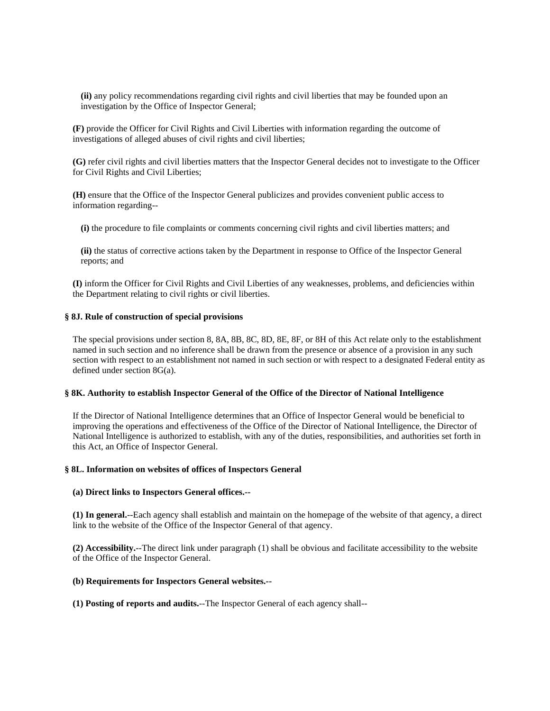**(ii)** any policy recommendations regarding civil rights and civil liberties that may be founded upon an investigation by the Office of Inspector General;

**(F)** provide the Officer for Civil Rights and Civil Liberties with information regarding the outcome of investigations of alleged abuses of civil rights and civil liberties;

**(G)** refer civil rights and civil liberties matters that the Inspector General decides not to investigate to the Officer for Civil Rights and Civil Liberties;

**(H)** ensure that the Office of the Inspector General publicizes and provides convenient public access to information regarding--

**(i)** the procedure to file complaints or comments concerning civil rights and civil liberties matters; and

**(ii)** the status of corrective actions taken by the Department in response to Office of the Inspector General reports; and

**(I)** inform the Officer for Civil Rights and Civil Liberties of any weaknesses, problems, and deficiencies within the Department relating to civil rights or civil liberties.

#### **§ 8J. Rule of construction of special provisions**

The special provisions under section 8, 8A, 8B, 8C, 8D, 8E, 8F, or 8H of this Act relate only to the establishment named in such section and no inference shall be drawn from the presence or absence of a provision in any such section with respect to an establishment not named in such section or with respect to a designated Federal entity as defined under section 8G(a).

#### **§ 8K. Authority to establish Inspector General of the Office of the Director of National Intelligence**

If the Director of National Intelligence determines that an Office of Inspector General would be beneficial to improving the operations and effectiveness of the Office of the Director of National Intelligence, the Director of National Intelligence is authorized to establish, with any of the duties, responsibilities, and authorities set forth in this Act, an Office of Inspector General.

### **§ 8L. Information on websites of offices of Inspectors General**

#### **(a) Direct links to Inspectors General offices.--**

**(1) In general.**--Each agency shall establish and maintain on the homepage of the website of that agency, a direct link to the website of the Office of the Inspector General of that agency.

**(2) Accessibility.**--The direct link under paragraph (1) shall be obvious and facilitate accessibility to the website of the Office of the Inspector General.

### **(b) Requirements for Inspectors General websites.--**

**(1) Posting of reports and audits.**--The Inspector General of each agency shall--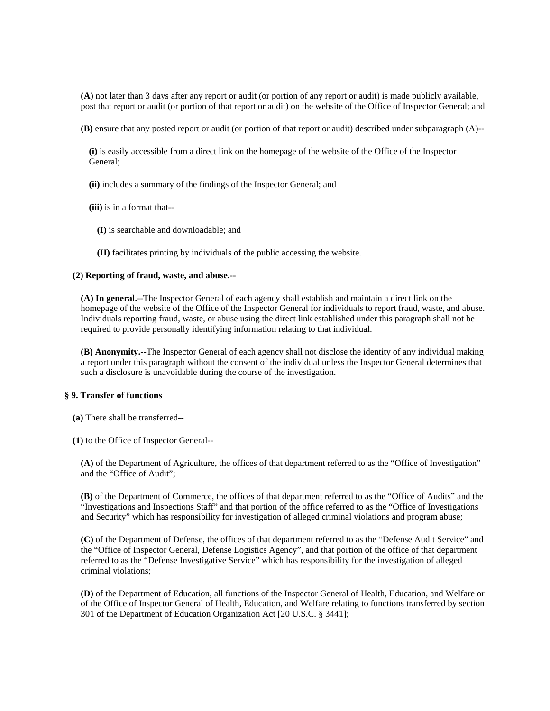**(A)** not later than 3 days after any report or audit (or portion of any report or audit) is made publicly available, post that report or audit (or portion of that report or audit) on the website of the Office of Inspector General; and

**(B)** ensure that any posted report or audit (or portion of that report or audit) described under subparagraph (A)--

**(i)** is easily accessible from a direct link on the homepage of the website of the Office of the Inspector General;

**(ii)** includes a summary of the findings of the Inspector General; and

**(iii)** is in a format that--

**(I)** is searchable and downloadable; and

**(II)** facilitates printing by individuals of the public accessing the website.

## **(2) Reporting of fraud, waste, and abuse.--**

**(A) In general.**--The Inspector General of each agency shall establish and maintain a direct link on the homepage of the website of the Office of the Inspector General for individuals to report fraud, waste, and abuse. Individuals reporting fraud, waste, or abuse using the direct link established under this paragraph shall not be required to provide personally identifying information relating to that individual.

**(B) Anonymity.**--The Inspector General of each agency shall not disclose the identity of any individual making a report under this paragraph without the consent of the individual unless the Inspector General determines that such a disclosure is unavoidable during the course of the investigation.

## **§ 9. Transfer of functions**

- **(a)** There shall be transferred--
- **(1)** to the Office of Inspector General--

**(A)** of the Department of Agriculture, the offices of that department referred to as the "Office of Investigation" and the "Office of Audit";

**(B)** of the Department of Commerce, the offices of that department referred to as the "Office of Audits" and the "Investigations and Inspections Staff" and that portion of the office referred to as the "Office of Investigations and Security" which has responsibility for investigation of alleged criminal violations and program abuse;

**(C)** of the Department of Defense, the offices of that department referred to as the "Defense Audit Service" and the "Office of Inspector General, Defense Logistics Agency", and that portion of the office of that department referred to as the "Defense Investigative Service" which has responsibility for the investigation of alleged criminal violations;

**(D)** of the Department of Education, all functions of the Inspector General of Health, Education, and Welfare or of the Office of Inspector General of Health, Education, and Welfare relating to functions transferred by section 301 of the Department of Education Organization Act [20 U.S.C. § 3441];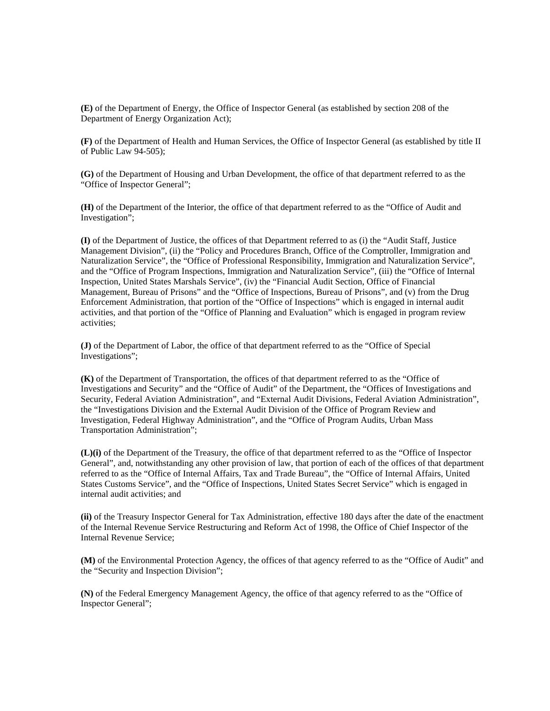**(E)** of the Department of Energy, the Office of Inspector General (as established by section 208 of the Department of Energy Organization Act);

**(F)** of the Department of Health and Human Services, the Office of Inspector General (as established by title II of Public Law 94-505);

**(G)** of the Department of Housing and Urban Development, the office of that department referred to as the "Office of Inspector General";

**(H)** of the Department of the Interior, the office of that department referred to as the "Office of Audit and Investigation";

**(I)** of the Department of Justice, the offices of that Department referred to as (i) the "Audit Staff, Justice Management Division", (ii) the "Policy and Procedures Branch, Office of the Comptroller, Immigration and Naturalization Service", the "Office of Professional Responsibility, Immigration and Naturalization Service", and the "Office of Program Inspections, Immigration and Naturalization Service", (iii) the "Office of Internal Inspection, United States Marshals Service", (iv) the "Financial Audit Section, Office of Financial Management, Bureau of Prisons" and the "Office of Inspections, Bureau of Prisons", and (v) from the Drug Enforcement Administration, that portion of the "Office of Inspections" which is engaged in internal audit activities, and that portion of the "Office of Planning and Evaluation" which is engaged in program review activities;

**(J)** of the Department of Labor, the office of that department referred to as the "Office of Special Investigations";

**(K)** of the Department of Transportation, the offices of that department referred to as the "Office of Investigations and Security" and the "Office of Audit" of the Department, the "Offices of Investigations and Security, Federal Aviation Administration", and "External Audit Divisions, Federal Aviation Administration", the "Investigations Division and the External Audit Division of the Office of Program Review and Investigation, Federal Highway Administration", and the "Office of Program Audits, Urban Mass Transportation Administration";

**(L)(i)** of the Department of the Treasury, the office of that department referred to as the "Office of Inspector General", and, notwithstanding any other provision of law, that portion of each of the offices of that department referred to as the "Office of Internal Affairs, Tax and Trade Bureau", the "Office of Internal Affairs, United States Customs Service", and the "Office of Inspections, United States Secret Service" which is engaged in internal audit activities; and

**(ii)** of the Treasury Inspector General for Tax Administration, effective 180 days after the date of the enactment of the Internal Revenue Service Restructuring and Reform Act of 1998, the Office of Chief Inspector of the Internal Revenue Service;

**(M)** of the Environmental Protection Agency, the offices of that agency referred to as the "Office of Audit" and the "Security and Inspection Division";

**(N)** of the Federal Emergency Management Agency, the office of that agency referred to as the "Office of Inspector General";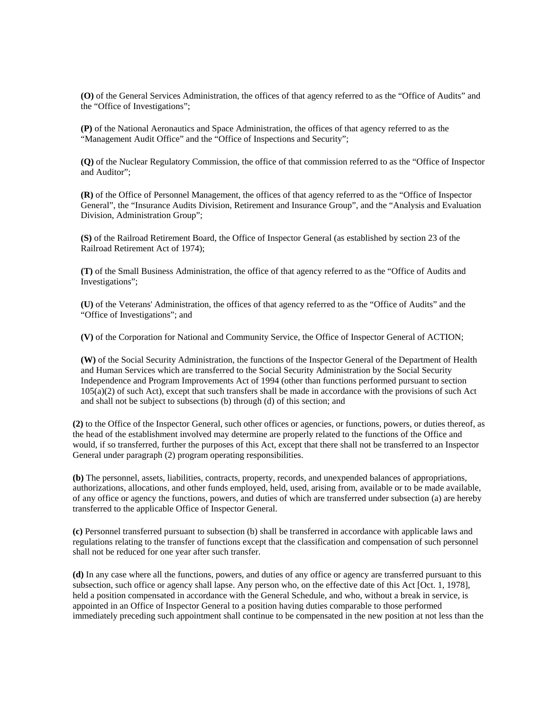**(O)** of the General Services Administration, the offices of that agency referred to as the "Office of Audits" and the "Office of Investigations";

**(P)** of the National Aeronautics and Space Administration, the offices of that agency referred to as the "Management Audit Office" and the "Office of Inspections and Security";

**(Q)** of the Nuclear Regulatory Commission, the office of that commission referred to as the "Office of Inspector and Auditor";

**(R)** of the Office of Personnel Management, the offices of that agency referred to as the "Office of Inspector General", the "Insurance Audits Division, Retirement and Insurance Group", and the "Analysis and Evaluation Division, Administration Group";

**(S)** of the Railroad Retirement Board, the Office of Inspector General (as established by section 23 of the Railroad Retirement Act of 1974);

**(T)** of the Small Business Administration, the office of that agency referred to as the "Office of Audits and Investigations";

**(U)** of the Veterans' Administration, the offices of that agency referred to as the "Office of Audits" and the "Office of Investigations"; and

**(V)** of the Corporation for National and Community Service, the Office of Inspector General of ACTION;

**(W)** of the Social Security Administration, the functions of the Inspector General of the Department of Health and Human Services which are transferred to the Social Security Administration by the Social Security Independence and Program Improvements Act of 1994 (other than functions performed pursuant to section 105(a)(2) of such Act), except that such transfers shall be made in accordance with the provisions of such Act and shall not be subject to subsections (b) through (d) of this section; and

**(2)** to the Office of the Inspector General, such other offices or agencies, or functions, powers, or duties thereof, as the head of the establishment involved may determine are properly related to the functions of the Office and would, if so transferred, further the purposes of this Act, except that there shall not be transferred to an Inspector General under paragraph (2) program operating responsibilities.

**(b)** The personnel, assets, liabilities, contracts, property, records, and unexpended balances of appropriations, authorizations, allocations, and other funds employed, held, used, arising from, available or to be made available, of any office or agency the functions, powers, and duties of which are transferred under subsection (a) are hereby transferred to the applicable Office of Inspector General.

**(c)** Personnel transferred pursuant to subsection (b) shall be transferred in accordance with applicable laws and regulations relating to the transfer of functions except that the classification and compensation of such personnel shall not be reduced for one year after such transfer.

**(d)** In any case where all the functions, powers, and duties of any office or agency are transferred pursuant to this subsection, such office or agency shall lapse. Any person who, on the effective date of this Act [Oct. 1, 1978], held a position compensated in accordance with the General Schedule, and who, without a break in service, is appointed in an Office of Inspector General to a position having duties comparable to those performed immediately preceding such appointment shall continue to be compensated in the new position at not less than the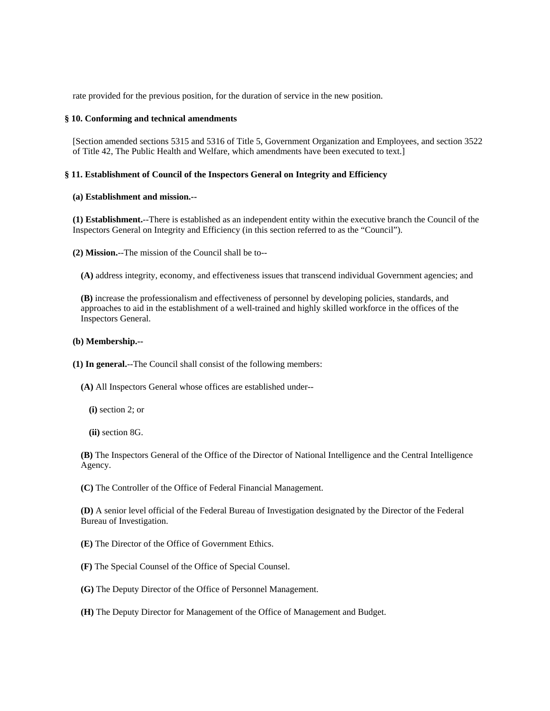rate provided for the previous position, for the duration of service in the new position.

## **§ 10. Conforming and technical amendments**

[Section amended sections 5315 and 5316 of Title 5, Government Organization and Employees, and section 3522 of Title 42, The Public Health and Welfare, which amendments have been executed to text.]

## **§ 11. Establishment of Council of the Inspectors General on Integrity and Efficiency**

## **(a) Establishment and mission.--**

**(1) Establishment.**--There is established as an independent entity within the executive branch the Council of the Inspectors General on Integrity and Efficiency (in this section referred to as the "Council").

**(2) Mission.**--The mission of the Council shall be to--

**(A)** address integrity, economy, and effectiveness issues that transcend individual Government agencies; and

**(B)** increase the professionalism and effectiveness of personnel by developing policies, standards, and approaches to aid in the establishment of a well-trained and highly skilled workforce in the offices of the Inspectors General.

## **(b) Membership.--**

**(1) In general.**--The Council shall consist of the following members:

**(A)** All Inspectors General whose offices are established under--

**(i)** section 2; or

**(ii)** section 8G.

**(B)** The Inspectors General of the Office of the Director of National Intelligence and the Central Intelligence Agency.

**(C)** The Controller of the Office of Federal Financial Management.

**(D)** A senior level official of the Federal Bureau of Investigation designated by the Director of the Federal Bureau of Investigation.

**(E)** The Director of the Office of Government Ethics.

**(F)** The Special Counsel of the Office of Special Counsel.

**(G)** The Deputy Director of the Office of Personnel Management.

**(H)** The Deputy Director for Management of the Office of Management and Budget.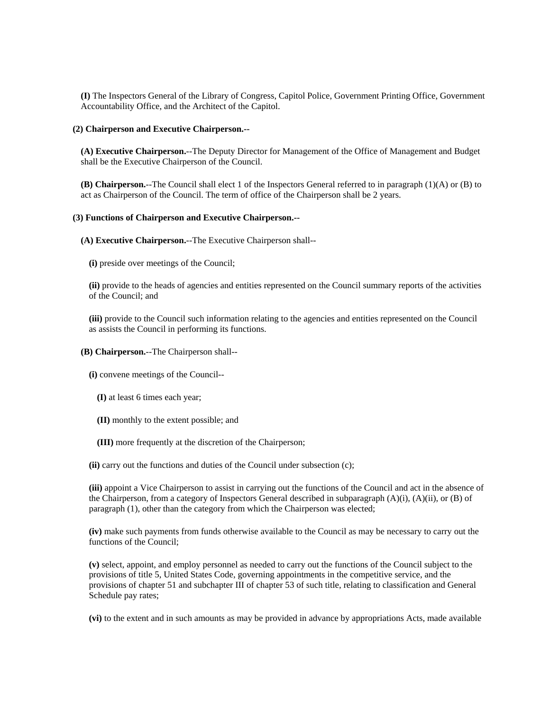**(I)** The Inspectors General of the Library of Congress, Capitol Police, Government Printing Office, Government Accountability Office, and the Architect of the Capitol.

## **(2) Chairperson and Executive Chairperson.--**

**(A) Executive Chairperson.**--The Deputy Director for Management of the Office of Management and Budget shall be the Executive Chairperson of the Council.

**(B) Chairperson.**--The Council shall elect 1 of the Inspectors General referred to in paragraph (1)(A) or (B) to act as Chairperson of the Council. The term of office of the Chairperson shall be 2 years.

### **(3) Functions of Chairperson and Executive Chairperson.--**

### **(A) Executive Chairperson.**--The Executive Chairperson shall--

**(i)** preside over meetings of the Council;

**(ii)** provide to the heads of agencies and entities represented on the Council summary reports of the activities of the Council; and

**(iii)** provide to the Council such information relating to the agencies and entities represented on the Council as assists the Council in performing its functions.

## **(B) Chairperson.**--The Chairperson shall--

**(i)** convene meetings of the Council--

- **(I)** at least 6 times each year;
- **(II)** monthly to the extent possible; and
- **(III)** more frequently at the discretion of the Chairperson;

**(ii)** carry out the functions and duties of the Council under subsection (c);

**(iii)** appoint a Vice Chairperson to assist in carrying out the functions of the Council and act in the absence of the Chairperson, from a category of Inspectors General described in subparagraph (A)(i), (A)(ii), or (B) of paragraph (1), other than the category from which the Chairperson was elected;

**(iv)** make such payments from funds otherwise available to the Council as may be necessary to carry out the functions of the Council;

**(v)** select, appoint, and employ personnel as needed to carry out the functions of the Council subject to the provisions of title 5, United States Code, governing appointments in the competitive service, and the provisions of chapter 51 and subchapter III of chapter 53 of such title, relating to classification and General Schedule pay rates;

**(vi)** to the extent and in such amounts as may be provided in advance by appropriations Acts, made available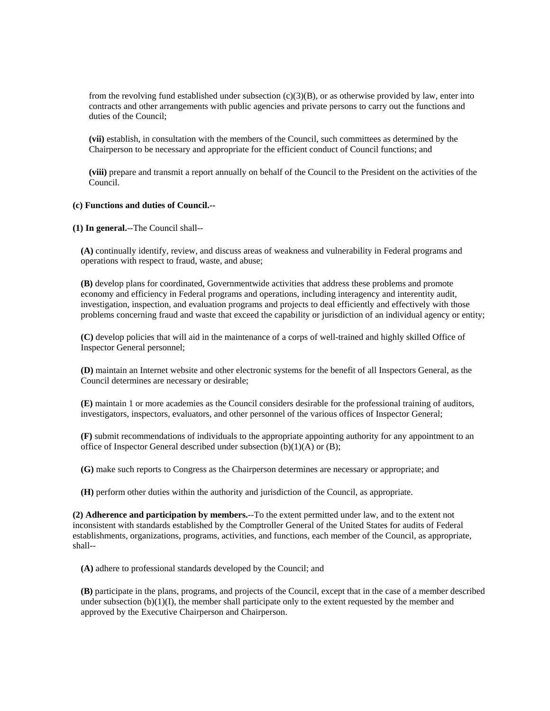from the revolving fund established under subsection  $(c)(3)(B)$ , or as otherwise provided by law, enter into contracts and other arrangements with public agencies and private persons to carry out the functions and duties of the Council;

**(vii)** establish, in consultation with the members of the Council, such committees as determined by the Chairperson to be necessary and appropriate for the efficient conduct of Council functions; and

**(viii)** prepare and transmit a report annually on behalf of the Council to the President on the activities of the Council.

## **(c) Functions and duties of Council.--**

**(1) In general.**--The Council shall--

**(A)** continually identify, review, and discuss areas of weakness and vulnerability in Federal programs and operations with respect to fraud, waste, and abuse;

**(B)** develop plans for coordinated, Governmentwide activities that address these problems and promote economy and efficiency in Federal programs and operations, including interagency and interentity audit, investigation, inspection, and evaluation programs and projects to deal efficiently and effectively with those problems concerning fraud and waste that exceed the capability or jurisdiction of an individual agency or entity;

**(C)** develop policies that will aid in the maintenance of a corps of well-trained and highly skilled Office of Inspector General personnel;

**(D)** maintain an Internet website and other electronic systems for the benefit of all Inspectors General, as the Council determines are necessary or desirable;

**(E)** maintain 1 or more academies as the Council considers desirable for the professional training of auditors, investigators, inspectors, evaluators, and other personnel of the various offices of Inspector General;

**(F)** submit recommendations of individuals to the appropriate appointing authority for any appointment to an office of Inspector General described under subsection  $(b)(1)(A)$  or  $(B)$ ;

**(G)** make such reports to Congress as the Chairperson determines are necessary or appropriate; and

**(H)** perform other duties within the authority and jurisdiction of the Council, as appropriate.

**(2) Adherence and participation by members.**--To the extent permitted under law, and to the extent not inconsistent with standards established by the Comptroller General of the United States for audits of Federal establishments, organizations, programs, activities, and functions, each member of the Council, as appropriate, shall--

**(A)** adhere to professional standards developed by the Council; and

**(B)** participate in the plans, programs, and projects of the Council, except that in the case of a member described under subsection  $(b)(1)(I)$ , the member shall participate only to the extent requested by the member and approved by the Executive Chairperson and Chairperson.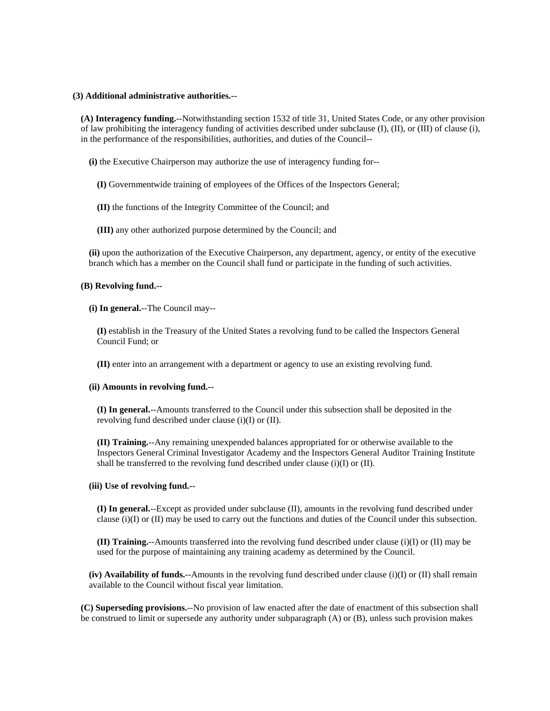#### **(3) Additional administrative authorities.--**

**(A) Interagency funding.**--Notwithstanding section 1532 of title 31, United States Code, or any other provision of law prohibiting the interagency funding of activities described under subclause (I), (II), or (III) of clause (i), in the performance of the responsibilities, authorities, and duties of the Council--

**(i)** the Executive Chairperson may authorize the use of interagency funding for--

**(I)** Governmentwide training of employees of the Offices of the Inspectors General;

**(II)** the functions of the Integrity Committee of the Council; and

**(III)** any other authorized purpose determined by the Council; and

**(ii)** upon the authorization of the Executive Chairperson, any department, agency, or entity of the executive branch which has a member on the Council shall fund or participate in the funding of such activities.

## **(B) Revolving fund.--**

**(i) In general.**--The Council may--

**(I)** establish in the Treasury of the United States a revolving fund to be called the Inspectors General Council Fund; or

**(II)** enter into an arrangement with a department or agency to use an existing revolving fund.

#### **(ii) Amounts in revolving fund.--**

**(I) In general.**--Amounts transferred to the Council under this subsection shall be deposited in the revolving fund described under clause (i)(I) or (II).

**(II) Training.**--Any remaining unexpended balances appropriated for or otherwise available to the Inspectors General Criminal Investigator Academy and the Inspectors General Auditor Training Institute shall be transferred to the revolving fund described under clause (i)(I) or (II).

### **(iii) Use of revolving fund.--**

**(I) In general.**--Except as provided under subclause (II), amounts in the revolving fund described under clause (i)(I) or (II) may be used to carry out the functions and duties of the Council under this subsection.

**(II) Training.**--Amounts transferred into the revolving fund described under clause (i)(I) or (II) may be used for the purpose of maintaining any training academy as determined by the Council.

**(iv) Availability of funds.**--Amounts in the revolving fund described under clause (i)(I) or (II) shall remain available to the Council without fiscal year limitation.

**(C) Superseding provisions.**--No provision of law enacted after the date of enactment of this subsection shall be construed to limit or supersede any authority under subparagraph (A) or (B), unless such provision makes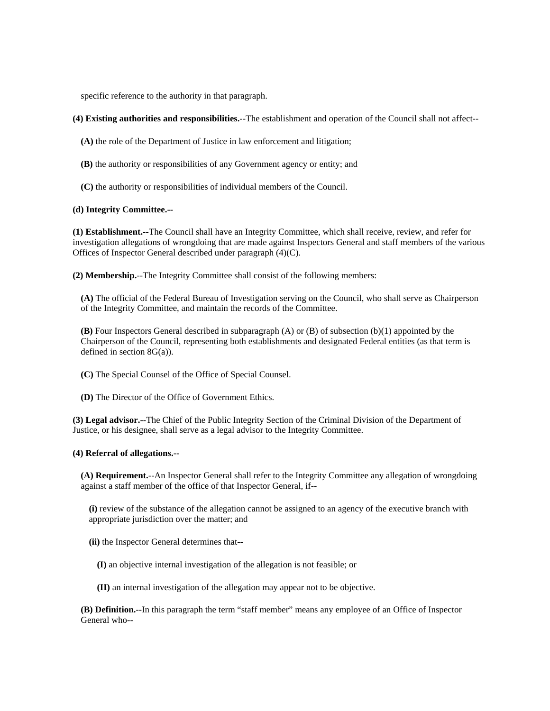specific reference to the authority in that paragraph.

## **(4) Existing authorities and responsibilities.**--The establishment and operation of the Council shall not affect--

- **(A)** the role of the Department of Justice in law enforcement and litigation;
- **(B)** the authority or responsibilities of any Government agency or entity; and
- **(C)** the authority or responsibilities of individual members of the Council.

## **(d) Integrity Committee.--**

**(1) Establishment.**--The Council shall have an Integrity Committee, which shall receive, review, and refer for investigation allegations of wrongdoing that are made against Inspectors General and staff members of the various Offices of Inspector General described under paragraph (4)(C).

**(2) Membership.**--The Integrity Committee shall consist of the following members:

**(A)** The official of the Federal Bureau of Investigation serving on the Council, who shall serve as Chairperson of the Integrity Committee, and maintain the records of the Committee.

**(B)** Four Inspectors General described in subparagraph (A) or (B) of subsection (b)(1) appointed by the Chairperson of the Council, representing both establishments and designated Federal entities (as that term is defined in section 8G(a)).

**(C)** The Special Counsel of the Office of Special Counsel.

**(D)** The Director of the Office of Government Ethics.

**(3) Legal advisor.**--The Chief of the Public Integrity Section of the Criminal Division of the Department of Justice, or his designee, shall serve as a legal advisor to the Integrity Committee.

### **(4) Referral of allegations.--**

**(A) Requirement.**--An Inspector General shall refer to the Integrity Committee any allegation of wrongdoing against a staff member of the office of that Inspector General, if--

**(i)** review of the substance of the allegation cannot be assigned to an agency of the executive branch with appropriate jurisdiction over the matter; and

**(ii)** the Inspector General determines that--

**(I)** an objective internal investigation of the allegation is not feasible; or

**(II)** an internal investigation of the allegation may appear not to be objective.

**(B) Definition.**--In this paragraph the term "staff member" means any employee of an Office of Inspector General who--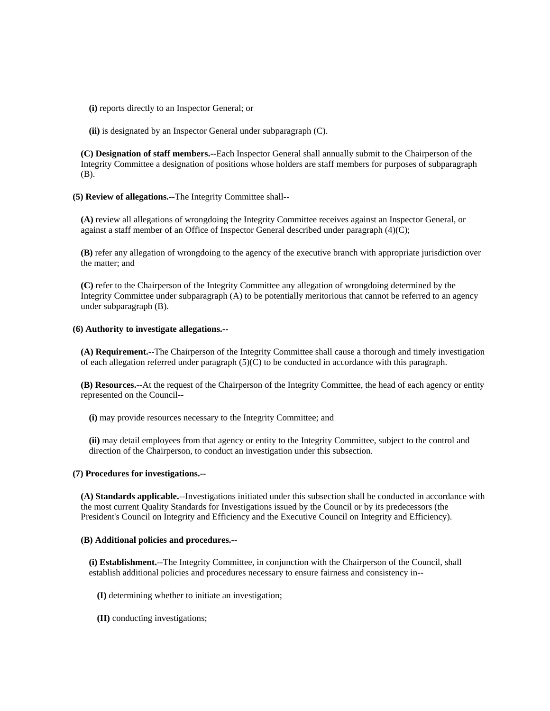**(i)** reports directly to an Inspector General; or

**(ii)** is designated by an Inspector General under subparagraph (C).

**(C) Designation of staff members.**--Each Inspector General shall annually submit to the Chairperson of the Integrity Committee a designation of positions whose holders are staff members for purposes of subparagraph (B).

**(5) Review of allegations.**--The Integrity Committee shall--

**(A)** review all allegations of wrongdoing the Integrity Committee receives against an Inspector General, or against a staff member of an Office of Inspector General described under paragraph (4)(C);

**(B)** refer any allegation of wrongdoing to the agency of the executive branch with appropriate jurisdiction over the matter; and

**(C)** refer to the Chairperson of the Integrity Committee any allegation of wrongdoing determined by the Integrity Committee under subparagraph (A) to be potentially meritorious that cannot be referred to an agency under subparagraph (B).

## **(6) Authority to investigate allegations.--**

**(A) Requirement.**--The Chairperson of the Integrity Committee shall cause a thorough and timely investigation of each allegation referred under paragraph  $(5)(C)$  to be conducted in accordance with this paragraph.

**(B) Resources.**--At the request of the Chairperson of the Integrity Committee, the head of each agency or entity represented on the Council--

**(i)** may provide resources necessary to the Integrity Committee; and

**(ii)** may detail employees from that agency or entity to the Integrity Committee, subject to the control and direction of the Chairperson, to conduct an investigation under this subsection.

### **(7) Procedures for investigations.--**

**(A) Standards applicable.**--Investigations initiated under this subsection shall be conducted in accordance with the most current Quality Standards for Investigations issued by the Council or by its predecessors (the President's Council on Integrity and Efficiency and the Executive Council on Integrity and Efficiency).

### **(B) Additional policies and procedures.--**

**(i) Establishment.**--The Integrity Committee, in conjunction with the Chairperson of the Council, shall establish additional policies and procedures necessary to ensure fairness and consistency in--

- **(I)** determining whether to initiate an investigation;
- **(II)** conducting investigations;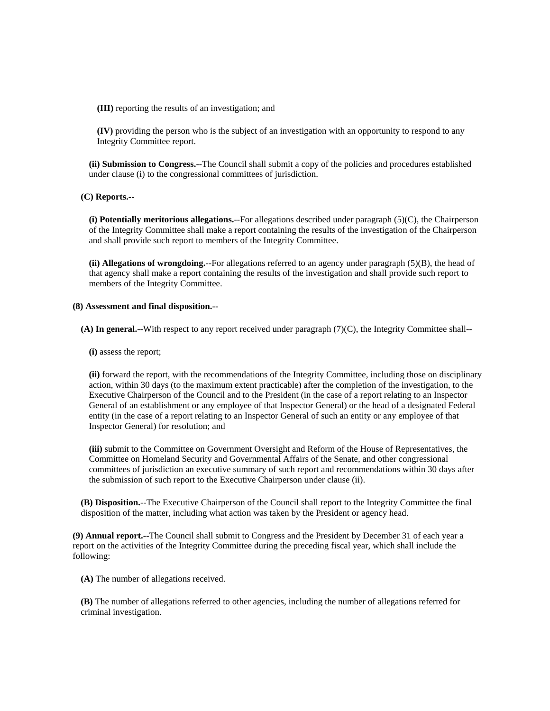**(III)** reporting the results of an investigation; and

**(IV)** providing the person who is the subject of an investigation with an opportunity to respond to any Integrity Committee report.

**(ii) Submission to Congress.**--The Council shall submit a copy of the policies and procedures established under clause (i) to the congressional committees of jurisdiction.

**(C) Reports.--**

**(i) Potentially meritorious allegations.**--For allegations described under paragraph (5)(C), the Chairperson of the Integrity Committee shall make a report containing the results of the investigation of the Chairperson and shall provide such report to members of the Integrity Committee.

**(ii) Allegations of wrongdoing.**--For allegations referred to an agency under paragraph (5)(B), the head of that agency shall make a report containing the results of the investigation and shall provide such report to members of the Integrity Committee.

## **(8) Assessment and final disposition.--**

**(A) In general.**--With respect to any report received under paragraph (7)(C), the Integrity Committee shall--

**(i)** assess the report;

**(ii)** forward the report, with the recommendations of the Integrity Committee, including those on disciplinary action, within 30 days (to the maximum extent practicable) after the completion of the investigation, to the Executive Chairperson of the Council and to the President (in the case of a report relating to an Inspector General of an establishment or any employee of that Inspector General) or the head of a designated Federal entity (in the case of a report relating to an Inspector General of such an entity or any employee of that Inspector General) for resolution; and

**(iii)** submit to the Committee on Government Oversight and Reform of the House of Representatives, the Committee on Homeland Security and Governmental Affairs of the Senate, and other congressional committees of jurisdiction an executive summary of such report and recommendations within 30 days after the submission of such report to the Executive Chairperson under clause (ii).

**(B) Disposition.**--The Executive Chairperson of the Council shall report to the Integrity Committee the final disposition of the matter, including what action was taken by the President or agency head.

**(9) Annual report.**--The Council shall submit to Congress and the President by December 31 of each year a report on the activities of the Integrity Committee during the preceding fiscal year, which shall include the following:

**(A)** The number of allegations received.

**(B)** The number of allegations referred to other agencies, including the number of allegations referred for criminal investigation.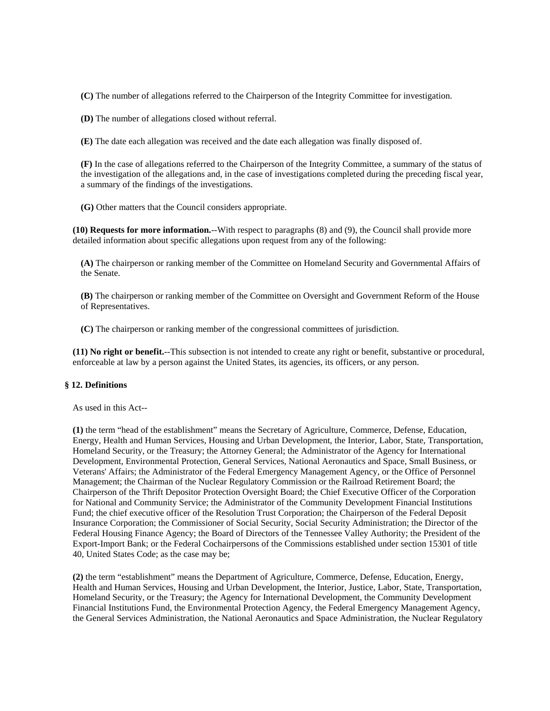**(C)** The number of allegations referred to the Chairperson of the Integrity Committee for investigation.

**(D)** The number of allegations closed without referral.

**(E)** The date each allegation was received and the date each allegation was finally disposed of.

**(F)** In the case of allegations referred to the Chairperson of the Integrity Committee, a summary of the status of the investigation of the allegations and, in the case of investigations completed during the preceding fiscal year, a summary of the findings of the investigations.

**(G)** Other matters that the Council considers appropriate.

**(10) Requests for more information.**--With respect to paragraphs (8) and (9), the Council shall provide more detailed information about specific allegations upon request from any of the following:

**(A)** The chairperson or ranking member of the Committee on Homeland Security and Governmental Affairs of the Senate.

**(B)** The chairperson or ranking member of the Committee on Oversight and Government Reform of the House of Representatives.

**(C)** The chairperson or ranking member of the congressional committees of jurisdiction.

**(11) No right or benefit.**--This subsection is not intended to create any right or benefit, substantive or procedural, enforceable at law by a person against the United States, its agencies, its officers, or any person.

## **§ 12. Definitions**

As used in this Act--

**(1)** the term "head of the establishment" means the Secretary of Agriculture, Commerce, Defense, Education, Energy, Health and Human Services, Housing and Urban Development, the Interior, Labor, State, Transportation, Homeland Security, or the Treasury; the Attorney General; the Administrator of the Agency for International Development, Environmental Protection, General Services, National Aeronautics and Space, Small Business, or Veterans' Affairs; the Administrator of the Federal Emergency Management Agency, or the Office of Personnel Management; the Chairman of the Nuclear Regulatory Commission or the Railroad Retirement Board; the Chairperson of the Thrift Depositor Protection Oversight Board; the Chief Executive Officer of the Corporation for National and Community Service; the Administrator of the Community Development Financial Institutions Fund; the chief executive officer of the Resolution Trust Corporation; the Chairperson of the Federal Deposit Insurance Corporation; the Commissioner of Social Security, Social Security Administration; the Director of the Federal Housing Finance Agency; the Board of Directors of the Tennessee Valley Authority; the President of the Export-Import Bank; or the Federal Cochairpersons of the Commissions established under section 15301 of title 40, United States Code; as the case may be;

**(2)** the term "establishment" means the Department of Agriculture, Commerce, Defense, Education, Energy, Health and Human Services, Housing and Urban Development, the Interior, Justice, Labor, State, Transportation, Homeland Security, or the Treasury; the Agency for International Development, the Community Development Financial Institutions Fund, the Environmental Protection Agency, the Federal Emergency Management Agency, the General Services Administration, the National Aeronautics and Space Administration, the Nuclear Regulatory